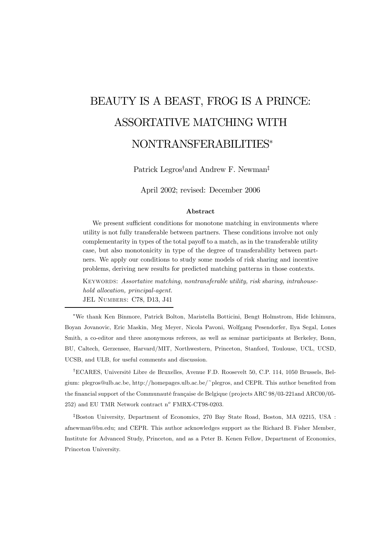# BEAUTY IS A BEAST, FROG IS A PRINCE: ASSORTATIVE MATCHING WITH NONTRANSFERABILITIES<sup>∗</sup>

Patrick Legros<sup>†</sup>and Andrew F. Newman<sup>‡</sup>

April 2002; revised: December 2006

## Abstract

We present sufficient conditions for monotone matching in environments where utility is not fully transferable between partners. These conditions involve not only complementarity in types of the total payoff to a match, as in the transferable utility case, but also monotonicity in type of the degree of transferability between partners. We apply our conditions to study some models of risk sharing and incentive problems, deriving new results for predicted matching patterns in those contexts.

KEYWORDS: Assortative matching, nontransferable utility, risk sharing, intrahousehold allocation, principal-agent. JEL Numbers: C78, D13, J41

<sup>∗</sup>We thank Ken Binmore, Patrick Bolton, Maristella Botticini, Bengt Holmstrom, Hide Ichimura, Boyan Jovanovic, Eric Maskin, Meg Meyer, Nicola Pavoni, Wolfgang Pesendorfer, Ilya Segal, Lones Smith, a co-editor and three anonymous referees, as well as seminar participants at Berkeley, Bonn, BU, Caltech, Gerzensee, Harvard/MIT, Northwestern, Princeton, Stanford, Toulouse, UCL, UCSD, UCSB, and ULB, for useful comments and discussion.

†ECARES, Université Libre de Bruxelles, Avenue F.D. Roosevelt 50, C.P. 114, 1050 Brussels, Belgium: plegros@ulb.ac.be, http://homepages.ulb.ac.be/~plegros, and CEPR. This author benefited from the financial support of the Communauté française de Belgique (projects ARC 98/03-221and ARC00/05- 252) and EU TMR Network contract  $n^o$  FMRX-CT98-0203.

‡Boston University, Department of Economics, 270 Bay State Road, Boston, MA 02215, USA : afnewman@bu.edu; and CEPR. This author acknowledges support as the Richard B. Fisher Member, Institute for Advanced Study, Princeton, and as a Peter B. Kenen Fellow, Department of Economics, Princeton University.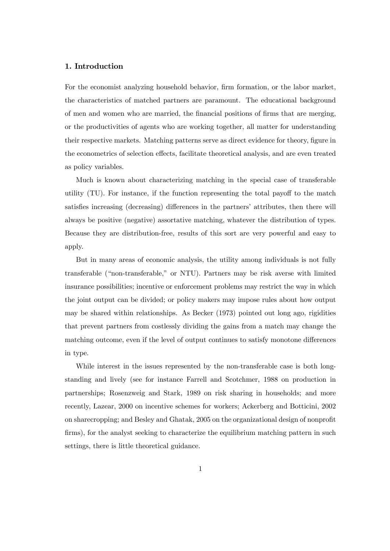# 1. Introduction

For the economist analyzing household behavior, firm formation, or the labor market, the characteristics of matched partners are paramount. The educational background of men and women who are married, the financial positions of firms that are merging, or the productivities of agents who are working together, all matter for understanding their respective markets. Matching patterns serve as direct evidence for theory, figure in the econometrics of selection effects, facilitate theoretical analysis, and are even treated as policy variables.

Much is known about characterizing matching in the special case of transferable utility (TU). For instance, if the function representing the total payoff to the match satisfies increasing (decreasing) differences in the partners' attributes, then there will always be positive (negative) assortative matching, whatever the distribution of types. Because they are distribution-free, results of this sort are very powerful and easy to apply.

But in many areas of economic analysis, the utility among individuals is not fully transferable ("non-transferable," or NTU). Partners may be risk averse with limited insurance possibilities; incentive or enforcement problems may restrict the way in which the joint output can be divided; or policy makers may impose rules about how output may be shared within relationships. As Becker (1973) pointed out long ago, rigidities that prevent partners from costlessly dividing the gains from a match may change the matching outcome, even if the level of output continues to satisfy monotone differences in type.

While interest in the issues represented by the non-transferable case is both longstanding and lively (see for instance Farrell and Scotchmer, 1988 on production in partnerships; Rosenzweig and Stark, 1989 on risk sharing in households; and more recently, Lazear, 2000 on incentive schemes for workers; Ackerberg and Botticini, 2002 on sharecropping; and Besley and Ghatak, 2005 on the organizational design of nonprofit firms), for the analyst seeking to characterize the equilibrium matching pattern in such settings, there is little theoretical guidance.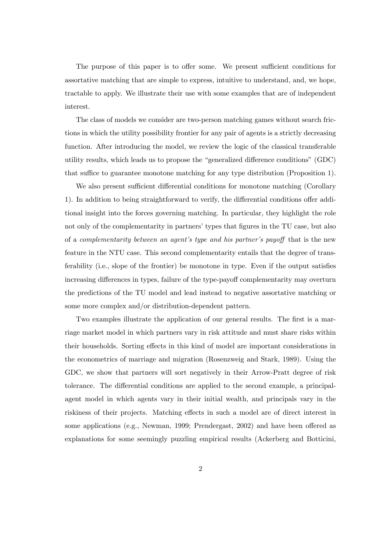The purpose of this paper is to offer some. We present sufficient conditions for assortative matching that are simple to express, intuitive to understand, and, we hope, tractable to apply. We illustrate their use with some examples that are of independent interest.

The class of models we consider are two-person matching games without search frictions in which the utility possibility frontier for any pair of agents is a strictly decreasing function. After introducing the model, we review the logic of the classical transferable utility results, which leads us to propose the "generalized difference conditions" (GDC) that suffice to guarantee monotone matching for any type distribution (Proposition 1).

We also present sufficient differential conditions for monotone matching (Corollary 1). In addition to being straightforward to verify, the differential conditions offer additional insight into the forces governing matching. In particular, they highlight the role not only of the complementarity in partners' types that figures in the TU case, but also of a complementarity between an agent's type and his partner's payoff that is the new feature in the NTU case. This second complementarity entails that the degree of transferability (i.e., slope of the frontier) be monotone in type. Even if the output satisfies increasing differences in types, failure of the type-payoff complementarity may overturn the predictions of the TU model and lead instead to negative assortative matching or some more complex and/or distribution-dependent pattern.

Two examples illustrate the application of our general results. The first is a marriage market model in which partners vary in risk attitude and must share risks within their households. Sorting effects in this kind of model are important considerations in the econometrics of marriage and migration (Rosenzweig and Stark, 1989). Using the GDC, we show that partners will sort negatively in their Arrow-Pratt degree of risk tolerance. The differential conditions are applied to the second example, a principalagent model in which agents vary in their initial wealth, and principals vary in the riskiness of their projects. Matching effects in such a model are of direct interest in some applications (e.g., Newman, 1999; Prendergast, 2002) and have been offered as explanations for some seemingly puzzling empirical results (Ackerberg and Botticini,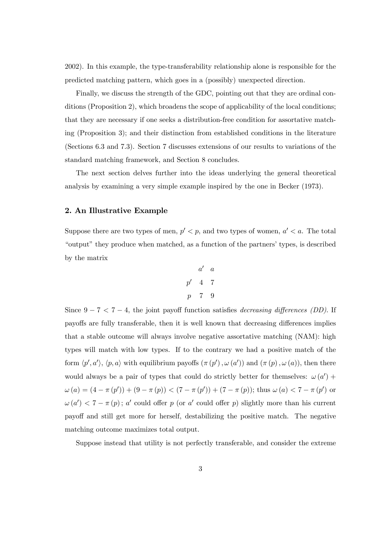2002). In this example, the type-transferability relationship alone is responsible for the predicted matching pattern, which goes in a (possibly) unexpected direction.

Finally, we discuss the strength of the GDC, pointing out that they are ordinal conditions (Proposition 2), which broadens the scope of applicability of the local conditions; that they are necessary if one seeks a distribution-free condition for assortative matching (Proposition 3); and their distinction from established conditions in the literature (Sections 6.3 and 7.3). Section 7 discusses extensions of our results to variations of the standard matching framework, and Section 8 concludes.

The next section delves further into the ideas underlying the general theoretical analysis by examining a very simple example inspired by the one in Becker (1973).

# 2. An Illustrative Example

Suppose there are two types of men,  $p' < p$ , and two types of women,  $a' < a$ . The total "output" they produce when matched, as a function of the partners' types, is described by the matrix

$$
\begin{array}{ccc}\n & a' & a \\
p' & 4 & 7 \\
p & 7 & 9\n\end{array}
$$

Since  $9 - 7 < 7 - 4$ , the joint payoff function satisfies *decreasing differences (DD)*. If payoffs are fully transferable, then it is well known that decreasing differences implies that a stable outcome will always involve negative assortative matching (NAM): high types will match with low types. If to the contrary we had a positive match of the form  $\langle p', a'\rangle$ ,  $\langle p, a\rangle$  with equilibrium payoffs  $(\pi(p'), \omega(a'))$  and  $(\pi(p), \omega(a))$ , then there would always be a pair of types that could do strictly better for themselves:  $\omega(a')$  +  $\omega(a) = (4 - \pi(p')) + (9 - \pi(p)) < (7 - \pi(p')) + (7 - \pi(p));$  thus  $\omega(a) < 7 - \pi(p')$  or  $\omega(a') < 7 - \pi(p)$ ; a' could offer p (or a' could offer p) slightly more than his current payoff and still get more for herself, destabilizing the positive match. The negative matching outcome maximizes total output.

Suppose instead that utility is not perfectly transferable, and consider the extreme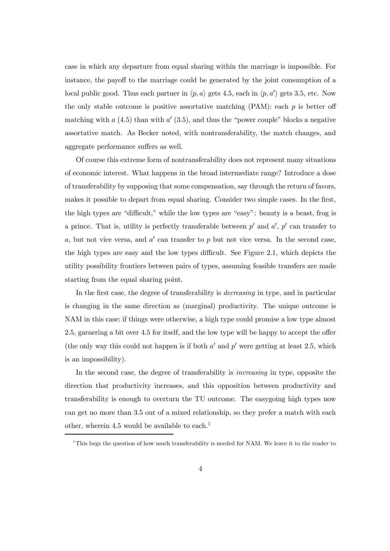case in which any departure from equal sharing within the marriage is impossible. For instance, the payoff to the marriage could be generated by the joint consumption of a local public good. Thus each partner in  $\langle p, a \rangle$  gets 4.5, each in  $\langle p, a' \rangle$  gets 3.5, etc. Now the only stable outcome is positive assortative matching  $(PAM)$ : each  $p$  is better off matching with  $a(4.5)$  than with  $a(3.5)$ , and thus the "power couple" blocks a negative assortative match. As Becker noted, with nontransferability, the match changes, and aggregate performance suffers as well.

Of course this extreme form of nontransferability does not represent many situations of economic interest. What happens in the broad intermediate range? Introduce a dose of transferability by supposing that some compensation, say through the return of favors, makes it possible to depart from equal sharing. Consider two simple cases. In the first, the high types are "difficult," while the low types are "easy": beauty is a beast, frog is a prince. That is, utility is perfectly transferable between  $p'$  and  $a'$ ,  $p'$  can transfer to a, but not vice versa, and  $a'$  can transfer to p but not vice versa. In the second case, the high types are easy and the low types difficult. See Figure 2.1, which depicts the utility possibility frontiers between pairs of types, assuming feasible transfers are made starting from the equal sharing point.

In the first case, the degree of transferability is decreasing in type, and in particular is changing in the same direction as (marginal) productivity. The unique outcome is NAM in this case: if things were otherwise, a high type could promise a low type almost 2.5, garnering a bit over 4.5 for itself, and the low type will be happy to accept the offer (the only way this could not happen is if both  $a'$  and  $p'$  were getting at least 2.5, which is an impossibility).

In the second case, the degree of transferability is increasing in type, opposite the direction that productivity increases, and this opposition between productivity and transferability is enough to overturn the TU outcome. The easygoing high types now can get no more than 3.5 out of a mixed relationship, so they prefer a match with each other, wherein 4.5 would be available to each.<sup>1</sup>

<sup>&</sup>lt;sup>1</sup>This begs the question of how much transferability is needed for NAM. We leave it to the reader to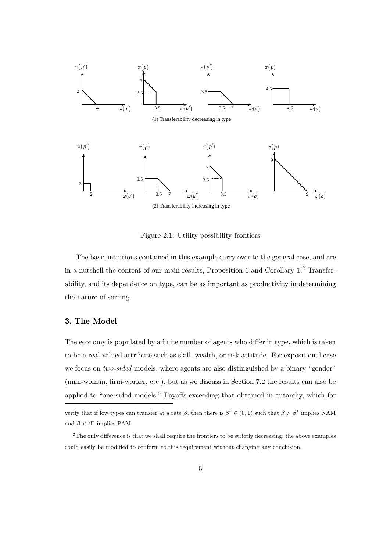

Figure 2.1: Utility possibility frontiers

The basic intuitions contained in this example carry over to the general case, and are in a nutshell the content of our main results, Proposition 1 and Corollary 1. <sup>2</sup> Transferability, and its dependence on type, can be as important as productivity in determining the nature of sorting.

# 3. The Model

The economy is populated by a finite number of agents who differ in type, which is taken to be a real-valued attribute such as skill, wealth, or risk attitude. For expositional ease we focus on *two-sided* models, where agents are also distinguished by a binary "gender" (man-woman, firm-worker, etc.), but as we discuss in Section 7.2 the results can also be applied to "one-sided models." Payoffs exceeding that obtained in autarchy, which for

verify that if low types can transfer at a rate  $\beta$ , then there is  $\beta^* \in (0,1)$  such that  $\beta > \beta^*$  implies NAM and  $\beta < \beta^*$  implies PAM.

<sup>&</sup>lt;sup>2</sup>The only difference is that we shall require the frontiers to be strictly decreasing; the above examples could easily be modified to conform to this requirement without changing any conclusion.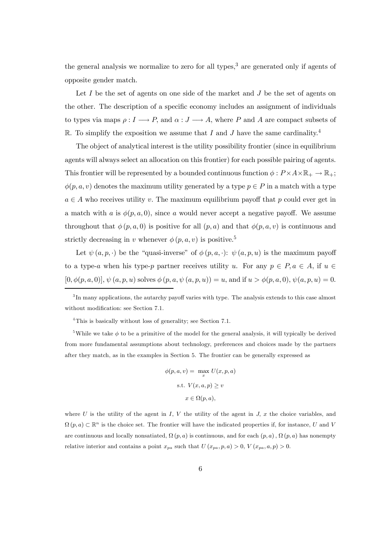the general analysis we normalize to zero for all types,<sup>3</sup> are generated only if agents of opposite gender match.

Let  $I$  be the set of agents on one side of the market and  $J$  be the set of agents on the other. The description of a specific economy includes an assignment of individuals to types via maps  $\rho: I \longrightarrow P$ , and  $\alpha: J \longrightarrow A$ , where P and A are compact subsets of R. To simplify the exposition we assume that I and J have the same cardinality.<sup>4</sup>

The object of analytical interest is the utility possibility frontier (since in equilibrium agents will always select an allocation on this frontier) for each possible pairing of agents. This frontier will be represented by a bounded continuous function  $\phi: P \times A \times \mathbb{R}_+ \to \mathbb{R}_+$ ;  $\phi(p, a, v)$  denotes the maximum utility generated by a type  $p \in P$  in a match with a type  $a \in A$  who receives utility v. The maximum equilibrium payoff that p could ever get in a match with a is  $\phi(p, a, 0)$ , since a would never accept a negative payoff. We assume throughout that  $\phi(p, a, 0)$  is positive for all  $(p, a)$  and that  $\phi(p, a, v)$  is continuous and strictly decreasing in v whenever  $\phi(p, a, v)$  is positive.<sup>5</sup>

Let  $\psi(a, p, \cdot)$  be the "quasi-inverse" of  $\phi(p, a, \cdot): \psi(a, p, u)$  is the maximum payoff to a type-a when his type-p partner receives utility u. For any  $p \in P, a \in A$ , if  $u \in$  $[0, \phi(p, a, 0)], \psi(a, p, u)$  solves  $\phi(p, a, \psi(a, p, u)) = u$ , and if  $u > \phi(p, a, 0), \psi(a, p, u) = 0$ .

4This is basically without loss of generality; see Section 7.1.

<sup>5</sup>While we take  $\phi$  to be a primitive of the model for the general analysis, it will typically be derived from more fundamental assumptions about technology, preferences and choices made by the partners after they match, as in the examples in Section 5. The frontier can be generally expressed as

$$
\phi(p, a, v) = \max_{x} U(x, p, a)
$$
  
s.t.  $V(x, a, p) \ge v$   
 $x \in \Omega(p, a),$ 

where U is the utility of the agent in I, V the utility of the agent in J, x the choice variables, and  $\Omega(p, a) \subset \mathbb{R}^n$  is the choice set. The frontier will have the indicated properties if, for instance, U and V are continuous and locally nonsatiated,  $\Omega(p, a)$  is continuous, and for each  $(p, a)$ ,  $\Omega(p, a)$  has nonempty relative interior and contains a point  $x_{pa}$  such that  $U(x_{pa}, p, a) > 0$ ,  $V(x_{pa}, a, p) > 0$ .

<sup>&</sup>lt;sup>3</sup>In many applications, the autarchy payoff varies with type. The analysis extends to this case almost without modification: see Section 7.1.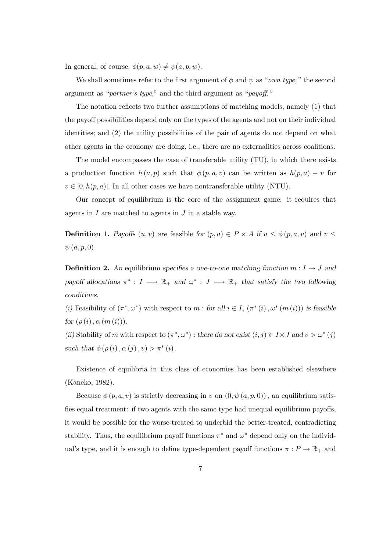In general, of course,  $\phi(p, a, w) \neq \psi(a, p, w)$ .

We shall sometimes refer to the first argument of  $\phi$  and  $\psi$  as "own type," the second argument as "partner's type," and the third argument as "payoff."

The notation reflects two further assumptions of matching models, namely (1) that the payoff possibilities depend only on the types of the agents and not on their individual identities; and (2) the utility possibilities of the pair of agents do not depend on what other agents in the economy are doing, i.e., there are no externalities across coalitions.

The model encompasses the case of transferable utility (TU), in which there exists a production function  $h(a, p)$  such that  $\phi(p, a, v)$  can be written as  $h(p, a) - v$  for  $v \in [0, h(p, a)]$ . In all other cases we have nontransferable utility (NTU).

Our concept of equilibrium is the core of the assignment game: it requires that agents in  $I$  are matched to agents in  $J$  in a stable way.

**Definition 1.** Payoffs  $(u, v)$  are feasible for  $(p, a) \in P \times A$  if  $u \leq \phi(p, a, v)$  and  $v \leq \phi(p, a, v)$  $\psi(a,p,0)$ .

**Definition 2.** An equilibrium specifies a one-to-one matching function  $m: I \rightarrow J$  and payoff allocations  $\pi^* : I \longrightarrow \mathbb{R}_+$  and  $\omega^* : J \longrightarrow \mathbb{R}_+$  that satisfy the two following conditions.

(i) Feasibility of  $(\pi^*, \omega^*)$  with respect to m : for all  $i \in I$ ,  $(\pi^*(i), \omega^*(m(i)))$  is feasible for  $(\rho(i), \alpha(m(i)))$ .

(ii) Stability of m with respect to  $(\pi^*, \omega^*)$  : there do not exist  $(i, j) \in I \times J$  and  $v > \omega^*(j)$ such that  $\phi(\rho(i), \alpha(j), v) > \pi^*(i)$ .

Existence of equilibria in this class of economies has been established elsewhere (Kaneko, 1982).

Because  $\phi(p, a, v)$  is strictly decreasing in v on  $(0, \psi(a, p, 0))$ , an equilibrium satisfies equal treatment: if two agents with the same type had unequal equilibrium payoffs, it would be possible for the worse-treated to underbid the better-treated, contradicting stability. Thus, the equilibrium payoff functions  $\pi^*$  and  $\omega^*$  depend only on the individual's type, and it is enough to define type-dependent payoff functions  $\pi : P \to \mathbb{R}_+$  and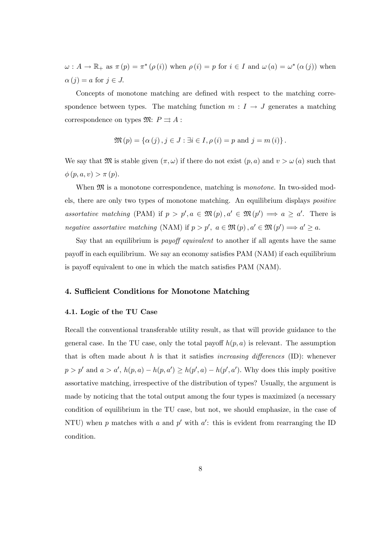$\omega: A \to \mathbb{R}_+$  as  $\pi(p) = \pi^*(\rho(i))$  when  $\rho(i) = p$  for  $i \in I$  and  $\omega(a) = \omega^*(\alpha(j))$  when  $\alpha(j) = a$  for  $j \in J$ .

Concepts of monotone matching are defined with respect to the matching correspondence between types. The matching function  $m: I \rightarrow J$  generates a matching correspondence on types  $\mathfrak{M}: P \rightrightarrows A$ :

$$
\mathfrak{M}(p) = \left\{\alpha(j), j \in J : \exists i \in I, \rho(i) = p \text{ and } j = m(i)\right\}.
$$

We say that  $\mathfrak{M}$  is stable given  $(\pi,\omega)$  if there do not exist  $(p, a)$  and  $v > \omega(a)$  such that  $\phi(p, a, v) > \pi(p).$ 

When  $\mathfrak{M}$  is a monotone correspondence, matching is *monotone*. In two-sided models, there are only two types of monotone matching. An equilibrium displays positive assortative matching (PAM) if  $p > p'$ ,  $a \in \mathfrak{M}(p)$ ,  $a' \in \mathfrak{M}(p') \implies a \geq a'$ . There is negative assortative matching (NAM) if  $p > p'$ ,  $a \in \mathfrak{M}(p)$ ,  $a' \in \mathfrak{M}(p') \Longrightarrow a' \geq a$ .

Say that an equilibrium is *payoff equivalent* to another if all agents have the same payoff in each equilibrium. We say an economy satisfies PAM (NAM) if each equilibrium is payoff equivalent to one in which the match satisfies PAM (NAM).

## 4. Sufficient Conditions for Monotone Matching

#### 4.1. Logic of the TU Case

Recall the conventional transferable utility result, as that will provide guidance to the general case. In the TU case, only the total payoff  $h(p, a)$  is relevant. The assumption that is often made about h is that it satisfies *increasing differences* (ID): whenever  $p > p'$  and  $a > a'$ ,  $h(p, a) - h(p, a') \ge h(p', a) - h(p', a')$ . Why does this imply positive assortative matching, irrespective of the distribution of types? Usually, the argument is made by noticing that the total output among the four types is maximized (a necessary condition of equilibrium in the TU case, but not, we should emphasize, in the case of NTU) when p matches with a and p' with  $a'$ : this is evident from rearranging the ID condition.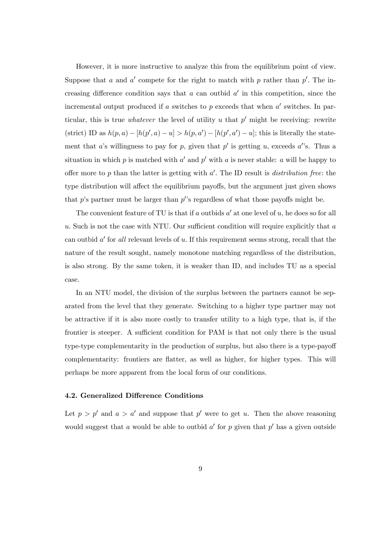However, it is more instructive to analyze this from the equilibrium point of view. Suppose that a and a' compete for the right to match with p rather than  $p'$ . The increasing difference condition says that  $a$  can outbid  $a'$  in this competition, since the incremental output produced if a switches to p exceeds that when  $a'$  switches. In particular, this is true *whatever* the level of utility u that  $p'$  might be receiving: rewrite (strict) ID as  $h(p, a) - [h(p', a) - u] > h(p, a') - [h(p', a') - u]$ ; this is literally the statement that a's willingness to pay for p, given that  $p'$  is getting u, exceeds a's. Thus a situation in which p is matched with a' and p' with a is never stable: a will be happy to offer more to p than the latter is getting with  $a'$ . The ID result is *distribution free*: the type distribution will affect the equilibrium payoffs, but the argument just given shows that  $p$ 's partner must be larger than  $p$ 's regardless of what those payoffs might be.

The convenient feature of TU is that if a outbids  $a'$  at one level of u, he does so for all  $u$ . Such is not the case with NTU. Our sufficient condition will require explicitly that  $a$ can outbid  $a'$  for all relevant levels of u. If this requirement seems strong, recall that the nature of the result sought, namely monotone matching regardless of the distribution, is also strong. By the same token, it is weaker than ID, and includes TU as a special case.

In an NTU model, the division of the surplus between the partners cannot be separated from the level that they generate. Switching to a higher type partner may not be attractive if it is also more costly to transfer utility to a high type, that is, if the frontier is steeper. A sufficient condition for PAM is that not only there is the usual type-type complementarity in the production of surplus, but also there is a type-payoff complementarity: frontiers are flatter, as well as higher, for higher types. This will perhaps be more apparent from the local form of our conditions.

#### 4.2. Generalized Difference Conditions

Let  $p>p'$  and  $a>a'$  and suppose that p' were to get u. Then the above reasoning would suggest that a would be able to outbid  $a'$  for p given that p' has a given outside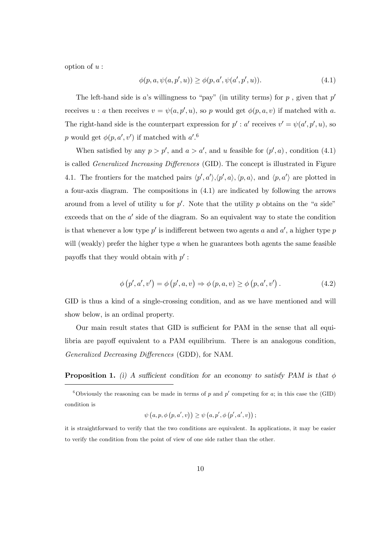option of  $u$ :

$$
\phi(p, a, \psi(a, p', u)) \ge \phi(p, a', \psi(a', p', u)). \tag{4.1}
$$

The left-hand side is a's willingness to "pay" (in utility terms) for p, given that  $p'$ receives  $u : a$  then receives  $v = \psi(a, p', u)$ , so p would get  $\phi(p, a, v)$  if matched with a. The right-hand side is the counterpart expression for  $p' : a'$  receives  $v' = \psi(a', p', u)$ , so p would get  $\phi(p, a', v')$  if matched with  $a'.^6$ 

When satisfied by any  $p > p'$ , and  $a > a'$ , and u feasible for  $(p', a)$ , condition (4.1) is called *Generalized Increasing Differences* (GID). The concept is illustrated in Figure 4.1. The frontiers for the matched pairs  $\langle p', a' \rangle, \langle p', a \rangle, \langle p, a \rangle$ , and  $\langle p, a' \rangle$  are plotted in a four-axis diagram. The compositions in (4.1) are indicated by following the arrows around from a level of utility u for  $p'$ . Note that the utility p obtains on the "a side" exceeds that on the  $a'$  side of the diagram. So an equivalent way to state the condition is that whenever a low type  $p'$  is indifferent between two agents a and  $a'$ , a higher type  $p$ will (weakly) prefer the higher type  $a$  when he guarantees both agents the same feasible payoffs that they would obtain with  $p'$ :

$$
\phi(p', a', v') = \phi(p', a, v) \Rightarrow \phi(p, a, v) \ge \phi(p, a', v').
$$
\n(4.2)

GID is thus a kind of a single-crossing condition, and as we have mentioned and will show below, is an ordinal property.

Our main result states that GID is sufficient for PAM in the sense that all equilibria are payoff equivalent to a PAM equilibrium. There is an analogous condition, Generalized Decreasing Differences (GDD), for NAM.

**Proposition 1.** (i) A sufficient condition for an economy to satisfy PAM is that  $\phi$ 

$$
\psi\left(a,p,\phi\left(p,a',v\right)\right)\geq\psi\left(a,p',\phi\left(p',a',v\right)\right);
$$

it is straightforward to verify that the two conditions are equivalent. In applications, it may be easier to verify the condition from the point of view of one side rather than the other.

<sup>&</sup>lt;sup>6</sup>Obviously the reasoning can be made in terms of p and p' competing for a; in this case the (GID) condition is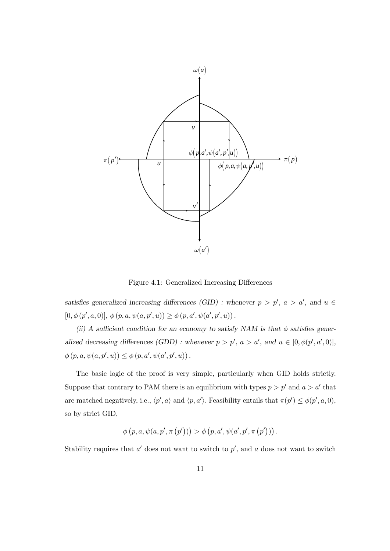

Figure 4.1: Generalized Increasing Differences

satisfies generalized increasing differences (GID) : whenever  $p > p'$ ,  $a > a'$ , and  $u \in$  $[0, \phi (p', a, 0)], \phi (p, a, \psi (a, p', u)) \geq \phi (p, a', \psi (a', p', u))$ .

(ii) A sufficient condition for an economy to satisfy NAM is that  $\phi$  satisfies generalized decreasing differences (GDD) : whenever  $p > p'$ ,  $a > a'$ , and  $u \in [0, \phi(p', a', 0)]$ ,  $\phi(p, a, \psi(a, p', u)) \leq \phi(p, a', \psi(a', p', u))$ .

The basic logic of the proof is very simple, particularly when GID holds strictly. Suppose that contrary to PAM there is an equilibrium with types  $p>p'$  and  $a>a'$  that are matched negatively, i.e.,  $\langle p', a \rangle$  and  $\langle p, a' \rangle$ . Feasibility entails that  $\pi(p') \leq \phi(p', a, 0)$ , so by strict GID,

$$
\phi(p, a, \psi(a, p', \pi(p'))) > \phi(p, a', \psi(a', p', \pi(p'))).
$$

Stability requires that  $a'$  does not want to switch to  $p'$ , and a does not want to switch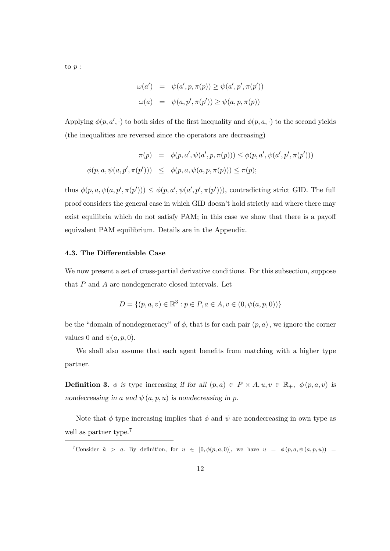to  $p:$ 

$$
\omega(a') = \psi(a', p, \pi(p)) \ge \psi(a', p', \pi(p'))
$$
  

$$
\omega(a) = \psi(a, p', \pi(p')) \ge \psi(a, p, \pi(p))
$$

Applying  $\phi(p, a', \cdot)$  to both sides of the first inequality and  $\phi(p, a, \cdot)$  to the second yields (the inequalities are reversed since the operators are decreasing)

$$
\pi(p) = \phi(p, a', \psi(a', p, \pi(p))) \leq \phi(p, a', \psi(a', p', \pi(p')))
$$
  

$$
\phi(p, a, \psi(a, p', \pi(p'))) \leq \phi(p, a, \psi(a, p, \pi(p))) \leq \pi(p);
$$

thus  $\phi(p, a, \psi(a, p', \pi(p'))) \leq \phi(p, a', \psi(a', p', \pi(p')))$ , contradicting strict GID. The full proof considers the general case in which GID doesn't hold strictly and where there may exist equilibria which do not satisfy PAM; in this case we show that there is a payoff equivalent PAM equilibrium. Details are in the Appendix.

#### 4.3. The Differentiable Case

We now present a set of cross-partial derivative conditions. For this subsection, suppose that P and A are nondegenerate closed intervals. Let

$$
D = \{(p, a, v) \in \mathbb{R}^3 : p \in P, a \in A, v \in (0, \psi(a, p, 0))\}
$$

be the "domain of nondegeneracy" of  $\phi$ , that is for each pair  $(p, a)$ , we ignore the corner values 0 and  $\psi(a, p, 0)$ .

We shall also assume that each agent benefits from matching with a higher type partner.

**Definition 3.**  $\phi$  is type increasing if for all  $(p, a) \in P \times A, u, v \in \mathbb{R}_+, \phi(p, a, v)$  is nondecreasing in a and  $\psi(a, p, u)$  is nondecreasing in p.

Note that  $\phi$  type increasing implies that  $\phi$  and  $\psi$  are nondecreasing in own type as well as partner type.<sup>7</sup>

<sup>7</sup>Consider  $\hat{a} > a$ . By definition, for  $u \in [0, \phi(p, a, 0)]$ , we have  $u = \phi(p, a, \psi(a, p, u))$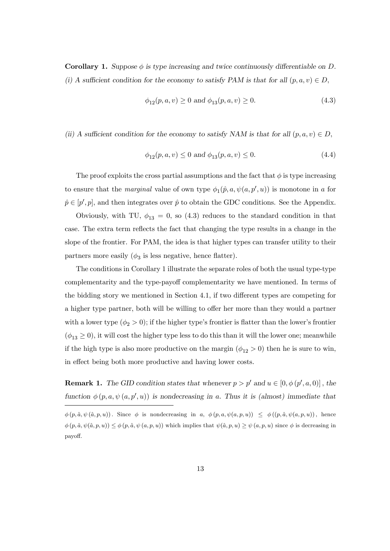**Corollary 1.** Suppose  $\phi$  is type increasing and twice continuously differentiable on D. (i) A sufficient condition for the economy to satisfy PAM is that for all  $(p, a, v) \in D$ ,

$$
\phi_{12}(p, a, v) \ge 0 \text{ and } \phi_{13}(p, a, v) \ge 0. \tag{4.3}
$$

(ii) A sufficient condition for the economy to satisfy NAM is that for all  $(p, a, v) \in D$ ,

$$
\phi_{12}(p, a, v) \le 0 \text{ and } \phi_{13}(p, a, v) \le 0. \tag{4.4}
$$

The proof exploits the cross partial assumptions and the fact that  $\phi$  is type increasing to ensure that the *marginal* value of own type  $\phi_1(\hat{p}, a, \psi(a, p', u))$  is monotone in a for  $\hat{p} \in [p', p]$ , and then integrates over  $\hat{p}$  to obtain the GDC conditions. See the Appendix.

Obviously, with TU,  $\phi_{13} = 0$ , so (4.3) reduces to the standard condition in that case. The extra term reflects the fact that changing the type results in a change in the slope of the frontier. For PAM, the idea is that higher types can transfer utility to their partners more easily  $(\phi_3)$  is less negative, hence flatter).

The conditions in Corollary 1 illustrate the separate roles of both the usual type-type complementarity and the type-payoff complementarity we have mentioned. In terms of the bidding story we mentioned in Section 4.1, if two different types are competing for a higher type partner, both will be willing to offer her more than they would a partner with a lower type  $(\phi_2 > 0)$ ; if the higher type's frontier is flatter than the lower's frontier  $(\phi_{13} \ge 0)$ , it will cost the higher type less to do this than it will the lower one; meanwhile if the high type is also more productive on the margin  $(\phi_{12} > 0)$  then he is sure to win, in effect being both more productive and having lower costs.

**Remark 1.** The GID condition states that whenever  $p > p'$  and  $u \in [0, \phi(p', a, 0)]$ , the function  $\phi(p, a, \psi(a, p', u))$  is nondecreasing in a. Thus it is (almost) immediate that

 $\phi(p, \hat{a}, \psi(\hat{a}, p, u))$ . Since  $\phi$  is nondecreasing in a,  $\phi(p, a, \psi(a, p, u)) \leq \phi((p, \hat{a}, \psi(a, p, u))$ , hence  $\phi(p, \hat{a}, \psi(\hat{a}, p, u)) \leq \phi(p, \hat{a}, \psi(a, p, u))$  which implies that  $\psi(\hat{a}, p, u) \geq \psi(a, p, u)$  since  $\phi$  is decreasing in payoff.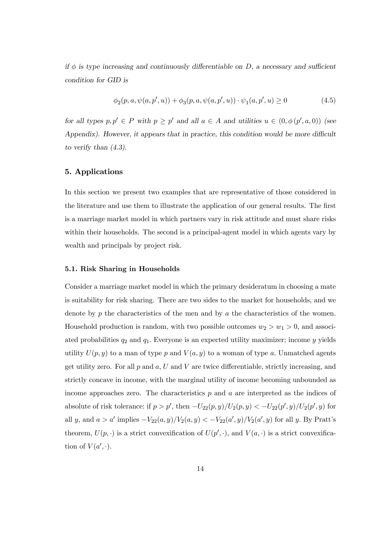if  $\phi$  is type increasing and continuously differentiable on D, a necessary and sufficient condition for GID is

$$
\phi_2(p, a, \psi(a, p', u)) + \phi_3(p, a, \psi(a, p', u)) \cdot \psi_1(a, p', u) \ge 0 \tag{4.5}
$$

for all types  $p, p' \in P$  with  $p \geq p'$  and all  $a \in A$  and utilities  $u \in (0, \phi(p', a, 0))$  (see Appendix). However, it appears that in practice, this condition would be more difficult to verify than (4.3).

# 5. Applications

In this section we present two examples that are representative of those considered in the literature and use them to illustrate the application of our general results. The first is a marriage market model in which partners vary in risk attitude and must share risks within their households. The second is a principal-agent model in which agents vary by wealth and principals by project risk.

#### 5.1. Risk Sharing in Households

Consider a marriage market model in which the primary desideratum in choosing a mate is suitability for risk sharing. There are two sides to the market for households, and we denote by  $p$  the characteristics of the men and by  $a$  the characteristics of the women. Household production is random, with two possible outcomes  $w_2 > w_1 > 0$ , and associated probabilities  $q_2$  and  $q_1$ . Everyone is an expected utility maximizer; income y yields utility  $U(p, y)$  to a man of type p and  $V(a, y)$  to a woman of type a. Unmatched agents get utility zero. For all  $p$  and  $a, U$  and  $V$  are twice differentiable, strictly increasing, and strictly concave in income, with the marginal utility of income becoming unbounded as income approaches zero. The characteristics  $p$  and  $a$  are interpreted as the indices of absolute of risk tolerance: if  $p > p'$ , then  $-U_{22}(p, y)/U_2(p, y) < -U_{22}(p', y)/U_2(p', y)$  for all y, and  $a > a'$  implies  $-V_{22}(a, y)/V_2(a, y) < -V_{22}(a', y)/V_2(a', y)$  for all y. By Pratt's theorem,  $U(p, \cdot)$  is a strict convexification of  $U(p', \cdot)$ , and  $V(a, \cdot)$  is a strict convexification of  $V(a', \cdot)$ .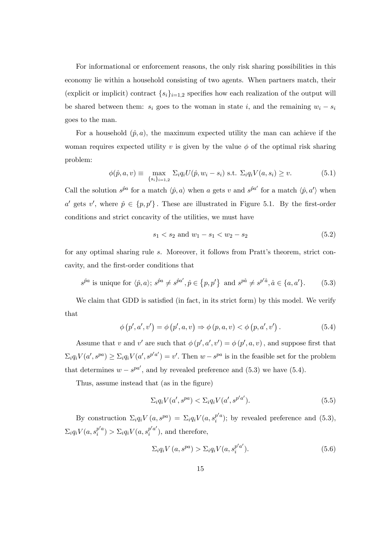For informational or enforcement reasons, the only risk sharing possibilities in this economy lie within a household consisting of two agents. When partners match, their (explicit or implicit) contract  $\{s_i\}_{i=1,2}$  specifies how each realization of the output will be shared between them:  $s_i$  goes to the woman in state i, and the remaining  $w_i - s_i$ goes to the man.

For a household  $(\hat{p}, a)$ , the maximum expected utility the man can achieve if the woman requires expected utility v is given by the value  $\phi$  of the optimal risk sharing problem:

$$
\phi(\hat{p}, a, v) \equiv \max_{\{s_i\}_{i=1,2}} \Sigma_i q_i U(\hat{p}, w_i - s_i) \text{ s.t. } \Sigma_i q_i V(a, s_i) \ge v. \tag{5.1}
$$

Call the solution  $s^{\hat{p}a}$  for a match  $\langle \hat{p}, a \rangle$  when a gets v and  $s^{\hat{p}a'}$  for a match  $\langle \hat{p}, a' \rangle$  when  $a'$  gets  $v'$ , where  $\hat{p} \in \{p, p'\}$ . These are illustrated in Figure 5.1. By the first-order conditions and strict concavity of the utilities, we must have

$$
s_1 < s_2 \text{ and } w_1 - s_1 < w_2 - s_2 \tag{5.2}
$$

for any optimal sharing rule s. Moreover, it follows from Pratt's theorem, strict concavity, and the first-order conditions that

$$
s^{\hat{p}a} \text{ is unique for } \langle \hat{p}, a \rangle; \ s^{\hat{p}a} \neq s^{\hat{p}a'}, \hat{p} \in \{p, p'\} \text{ and } s^{p\hat{a}} \neq s^{p'\hat{a}}, \hat{a} \in \{a, a'\}. \tag{5.3}
$$

We claim that GDD is satisfied (in fact, in its strict form) by this model. We verify that

$$
\phi(p', a', v') = \phi(p', a, v) \Rightarrow \phi(p, a, v) < \phi(p, a', v'). \tag{5.4}
$$

Assume that v and v' are such that  $\phi(p', a', v') = \phi(p', a, v)$ , and suppose first that  $\Sigma_i q_i V(a', s^{pa}) \ge \Sigma_i q_i V(a', s^{p'a'}) = v'.$  Then  $w - s^{pa}$  is in the feasible set for the problem that determines  $w - s^{pa'}$ , and by revealed preference and (5.3) we have (5.4).

Thus, assume instead that (as in the figure)

$$
\Sigma_i q_i V(a', s^{pa}) < \Sigma_i q_i V(a', s^{p'a'}). \tag{5.5}
$$

By construction  $\Sigma_i q_i V(a, s^{pa}) = \Sigma_i q_i V(a, s_i^{p'a})$ ; by revealed preference and (5.3),  $\Sigma_i q_i V(a, s_i^{p'a}) > \Sigma_i q_i V(a, s_i^{p'a'})$ , and therefore,

$$
\Sigma_i q_i V\left(a, s^{pa}\right) > \Sigma_i q_i V\left(a, s_i^{p'a'}\right). \tag{5.6}
$$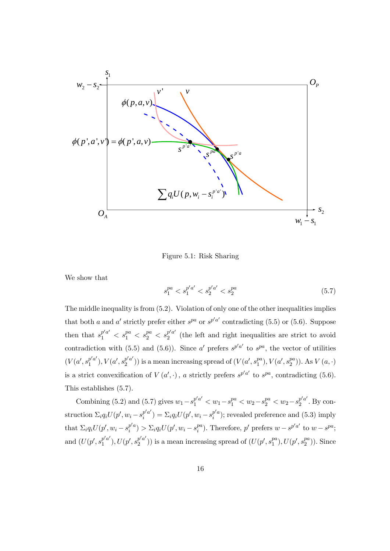

Figure 5.1: Risk Sharing

We show that

$$
s_1^{pa} < s_1^{p'a'} < s_2^{p'a'} < s_2^{pa} \tag{5.7}
$$

The middle inequality is from (5.2). Violation of only one of the other inequalities implies that both a and a' strictly prefer either  $s^{pa}$  or  $s^{p'a'}$  contradicting (5.5) or (5.6). Suppose then that  $s_1^{p'a'} < s_1^{pa} < s_2^{pa} < s_2^{p'a'}$  (the left and right inequalities are strict to avoid contradiction with (5.5) and (5.6)). Since a' prefers  $s^{p'a'}$  to  $s^{pa}$ , the vector of utilities  $(V(a', s_1^{p'a'}), V(a', s_2^{p'a'}))$  is a mean increasing spread of  $(V(a', s_1^{pa}), V(a', s_2^{pa}))$ . As  $V(a, \cdot)$ is a strict convexification of  $V(a', \cdot)$ , a strictly prefers  $s^{p'a'}$  to  $s^{pa}$ , contradicting (5.6). This establishes (5.7).

Combining (5.2) and (5.7) gives  $w_1 - s_1^{p'a'} < w_1 - s_1^{pa} < w_2 - s_2^{pa} < w_2 - s_2^{p'a'}$ . By construction  $\Sigma_i q_i U(p', w_i - s_i^{p'a'}) = \Sigma_i q_i U(p', w_i - s_i^{p'a})$ ; revealed preference and (5.3) imply that  $\Sigma_i q_i U(p', w_i - s_i^{p'a}) > \Sigma_i q_i U(p', w_i - s_i^{pa})$ . Therefore, p' prefers  $w - s^{p'a'}$  to  $w - s^{pa}$ ; and  $(U(p', s_1^{p'a'}), U(p', s_2^{p'a'}))$  is a mean increasing spread of  $(U(p', s_1^{pa}), U(p', s_2^{pa}))$ . Since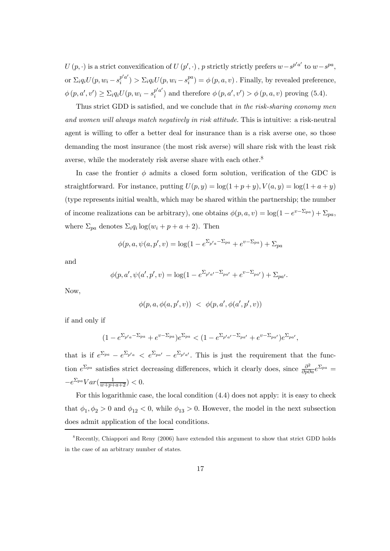$U(p, \cdot)$  is a strict convexification of  $U(p', \cdot)$ , p strictly strictly prefers  $w - s^{p'a'}$  to  $w - s^{pa}$ , or  $\Sigma_i q_i U(p, w_i - s_i^{p'a'}) > \Sigma_i q_i U(p, w_i - s_i^{pa}) = \phi(p, a, v)$ . Finally, by revealed preference,  $\phi(p, a', v') \geq \sum_i q_i U(p, w_i - s_i^{p'a'})$  and therefore  $\phi(p, a', v') > \phi(p, a, v)$  proving (5.4).

Thus strict GDD is satisfied, and we conclude that in the risk-sharing economy men and women will always match negatively in risk attitude. This is intuitive: a risk-neutral agent is willing to offer a better deal for insurance than is a risk averse one, so those demanding the most insurance (the most risk averse) will share risk with the least risk averse, while the moderately risk averse share with each other.<sup>8</sup>

In case the frontier  $\phi$  admits a closed form solution, verification of the GDC is straightforward. For instance, putting  $U(p, y) = \log(1 + p + y)$ ,  $V(a, y) = \log(1 + a + y)$ (type represents initial wealth, which may be shared within the partnership; the number of income realizations can be arbitrary), one obtains  $\phi(p, a, v) = \log(1 - e^{v - \sum_{pa}}) + \sum_{pa}$ where  $\Sigma_{pa}$  denotes  $\Sigma_i q_i \log(w_i + p + a + 2)$ . Then

$$
\phi(p, a, \psi(a, p', v) = \log(1 - e^{\Sigma_{p'a} - \Sigma_{pa}} + e^{v - \Sigma_{pa}}) + \Sigma_{pa}
$$

and

$$
\phi(p, a', \psi(a', p', v) = \log(1 - e^{\sum_{p' a'} - \sum_{p a'}} + e^{v - \sum_{p a'}}) + \sum_{p a'}.
$$

Now,

$$
\phi(p, a, \phi(a, p', v)) \iff \phi(p, a', \phi(a', p', v))
$$

if and only if

$$
(1 - e^{\Sigma_{p'a} - \Sigma_{pa}} + e^{v - \Sigma_{pa}})e^{\Sigma_{pa}} < (1 - e^{\Sigma_{p'a'} - \Sigma_{pa'}} + e^{v - \Sigma_{pa'}})e^{\Sigma_{pa'}},
$$

that is if  $e^{\sum_{pa}} - e^{\sum_{p'a}} < e^{\sum_{pa'}} - e^{\sum_{p'a'}}$ . This is just the requirement that the function  $e^{\sum p_a}$  satisfies strict decreasing differences, which it clearly does, since  $\frac{\partial^2}{\partial p \partial a}e^{\sum p_a}$  $-e^{\sum_{pa}Var\left(\frac{1}{w+p+a+2}\right)} < 0.$ 

For this logarithmic case, the local condition (4.4) does not apply: it is easy to check that  $\phi_1, \phi_2 > 0$  and  $\phi_{12} < 0$ , while  $\phi_{13} > 0$ . However, the model in the next subsection does admit application of the local conditions.

<sup>&</sup>lt;sup>8</sup>Recently, Chiappori and Reny (2006) have extended this argument to show that strict GDD holds in the case of an arbitrary number of states.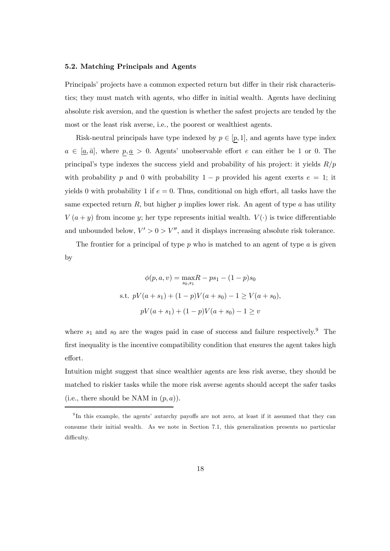#### 5.2. Matching Principals and Agents

Principals' projects have a common expected return but differ in their risk characteristics; they must match with agents, who differ in initial wealth. Agents have declining absolute risk aversion, and the question is whether the safest projects are tended by the most or the least risk averse, i.e., the poorest or wealthiest agents.

Risk-neutral principals have type indexed by  $p \in [p, 1]$ , and agents have type index  $a \in [\underline{a}, \overline{a}]$ , where  $\underline{p}, \underline{a} > 0$ . Agents' unobservable effort e can either be 1 or 0. The principal's type indexes the success yield and probability of his project: it yields  $R/p$ with probability p and 0 with probability  $1 - p$  provided his agent exerts  $e = 1$ ; it yields 0 with probability 1 if  $e = 0$ . Thus, conditional on high effort, all tasks have the same expected return  $R$ , but higher p implies lower risk. An agent of type a has utility  $V(a + y)$  from income y; her type represents initial wealth.  $V(\cdot)$  is twice differentiable and unbounded below,  $V' > 0 > V''$ , and it displays increasing absolute risk tolerance.

The frontier for a principal of type  $p$  who is matched to an agent of type  $a$  is given by

$$
\phi(p, a, v) = \max_{s_0, s_1} R - ps_1 - (1 - p)s_0
$$
  
s.t. 
$$
pV(a + s_1) + (1 - p)V(a + s_0) - 1 \ge V(a + s_0),
$$

$$
pV(a + s_1) + (1 - p)V(a + s_0) - 1 \ge v
$$

where  $s_1$  and  $s_0$  are the wages paid in case of success and failure respectively.<sup>9</sup> The first inequality is the incentive compatibility condition that ensures the agent takes high effort.

Intuition might suggest that since wealthier agents are less risk averse, they should be matched to riskier tasks while the more risk averse agents should accept the safer tasks (i.e., there should be NAM in  $(p, a)$ ).

<sup>&</sup>lt;sup>9</sup>In this example, the agents' autarchy payoffs are not zero, at least if it assumed that they can consume their initial wealth. As we note in Section 7.1, this generalization presents no particular difficulty.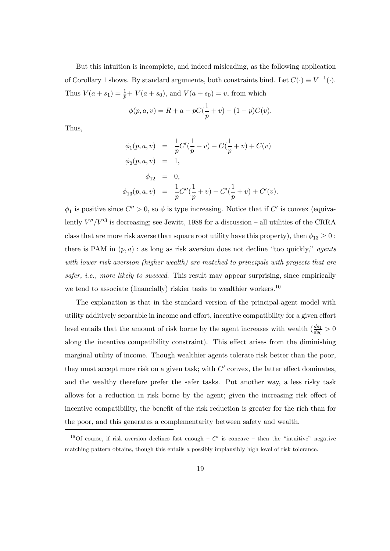But this intuition is incomplete, and indeed misleading, as the following application of Corollary 1 shows. By standard arguments, both constraints bind. Let  $C(\cdot) \equiv V^{-1}(\cdot)$ . Thus  $V(a + s_1) = \frac{1}{p} + V(a + s_0)$ , and  $V(a + s_0) = v$ , from which

$$
\phi(p, a, v) = R + a - pC(\frac{1}{p} + v) - (1 - p)C(v).
$$

Thus,

$$
\begin{aligned}\n\phi_1(p, a, v) &= \frac{1}{p} C'(\frac{1}{p} + v) - C(\frac{1}{p} + v) + C(v) \\
\phi_2(p, a, v) &= 1, \\
\phi_{12} &= 0, \\
\phi_{13}(p, a, v) &= \frac{1}{p} C''(\frac{1}{p} + v) - C'(\frac{1}{p} + v) + C'(v).\n\end{aligned}
$$

 $\phi_1$  is positive since  $C'' > 0$ , so  $\phi$  is type increasing. Notice that if  $C'$  is convex (equivalently  $V''/V'^3$  is decreasing; see Jewitt, 1988 for a discussion – all utilities of the CRRA class that are more risk averse than square root utility have this property), then  $\phi_{13} \geq 0$ : there is PAM in  $(p, a)$ : as long as risk aversion does not decline "too quickly," *agents* with lower risk aversion (higher wealth) are matched to principals with projects that are safer, i.e., more likely to succeed. This result may appear surprising, since empirically we tend to associate (financially) riskier tasks to wealthier workers.<sup>10</sup>

The explanation is that in the standard version of the principal-agent model with utility additively separable in income and effort, incentive compatibility for a given effort level entails that the amount of risk borne by the agent increases with wealth  $\left(\frac{ds_1}{ds_0}\right) > 0$ along the incentive compatibility constraint). This effect arises from the diminishing marginal utility of income. Though wealthier agents tolerate risk better than the poor, they must accept more risk on a given task; with  $C'$  convex, the latter effect dominates. and the wealthy therefore prefer the safer tasks. Put another way, a less risky task allows for a reduction in risk borne by the agent; given the increasing risk effect of incentive compatibility, the benefit of the risk reduction is greater for the rich than for the poor, and this generates a complementarity between safety and wealth.

<sup>&</sup>lt;sup>10</sup>Of course, if risk aversion declines fast enough –  $C'$  is concave – then the "intuitive" negative matching pattern obtains, though this entails a possibly implausibly high level of risk tolerance.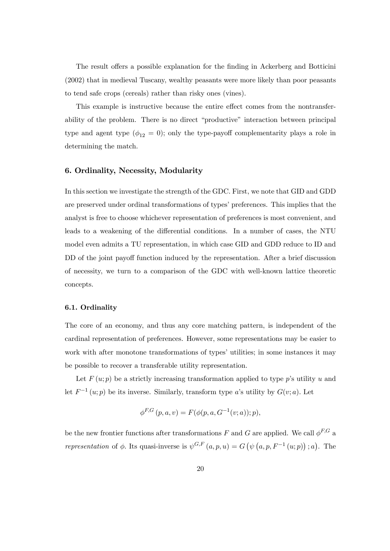The result offers a possible explanation for the finding in Ackerberg and Botticini (2002) that in medieval Tuscany, wealthy peasants were more likely than poor peasants to tend safe crops (cereals) rather than risky ones (vines).

This example is instructive because the entire effect comes from the nontransferability of the problem. There is no direct "productive" interaction between principal type and agent type  $(\phi_{12} = 0)$ ; only the type-payoff complementarity plays a role in determining the match.

#### 6. Ordinality, Necessity, Modularity

In this section we investigate the strength of the GDC. First, we note that GID and GDD are preserved under ordinal transformations of types' preferences. This implies that the analyst is free to choose whichever representation of preferences is most convenient, and leads to a weakening of the differential conditions. In a number of cases, the NTU model even admits a TU representation, in which case GID and GDD reduce to ID and DD of the joint payoff function induced by the representation. After a brief discussion of necessity, we turn to a comparison of the GDC with well-known lattice theoretic concepts.

#### 6.1. Ordinality

The core of an economy, and thus any core matching pattern, is independent of the cardinal representation of preferences. However, some representations may be easier to work with after monotone transformations of types' utilities; in some instances it may be possible to recover a transferable utility representation.

Let  $F(u; p)$  be a strictly increasing transformation applied to type p's utility u and let  $F^{-1}(u; p)$  be its inverse. Similarly, transform type a's utility by  $G(v; a)$ . Let

$$
\phi^{F,G}(p, a, v) = F(\phi(p, a, G^{-1}(v; a)); p),
$$

be the new frontier functions after transformations  $F$  and  $G$  are applied. We call  $\phi^{F,G}$  a representation of  $\phi$ . Its quasi-inverse is  $\psi^{G,F}(a,p,u) = G(\psi(a,p,F^{-1}(u;p));a)$ . The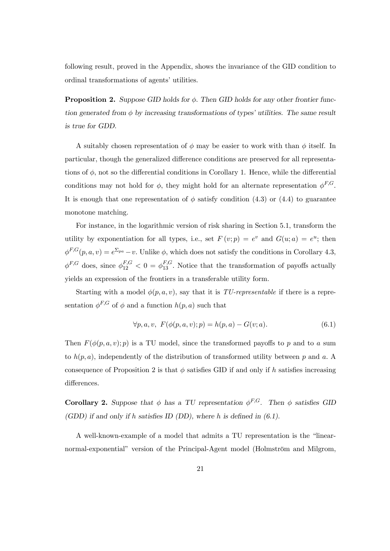following result, proved in the Appendix, shows the invariance of the GID condition to ordinal transformations of agents' utilities.

**Proposition 2.** Suppose GID holds for  $\phi$ . Then GID holds for any other frontier function generated from  $\phi$  by increasing transformations of types' utilities. The same result is true for GDD.

A suitably chosen representation of  $\phi$  may be easier to work with than  $\phi$  itself. In particular, though the generalized difference conditions are preserved for all representations of  $\phi$ , not so the differential conditions in Corollary 1. Hence, while the differential conditions may not hold for  $\phi$ , they might hold for an alternate representation  $\phi^{F,G}$ . It is enough that one representation of  $\phi$  satisfy condition (4.3) or (4.4) to guarantee monotone matching.

For instance, in the logarithmic version of risk sharing in Section 5.1, transform the utility by exponentiation for all types, i.e., set  $F(v; p) = e^v$  and  $G(u; a) = e^u$ ; then  $\phi^{F,G}(p, a, v) = e^{\Sigma_{pa}} - v$ . Unlike  $\phi$ , which does not satisfy the conditions in Corollary 4.3,  $\phi^{F,G}$  does, since  $\phi_{12}^{F,G} < 0 = \phi_{13}^{F,G}$ . Notice that the transformation of payoffs actually yields an expression of the frontiers in a transferable utility form.

Starting with a model  $\phi(p, a, v)$ , say that it is TU-representable if there is a representation  $\phi^{F,G}$  of  $\phi$  and a function  $h(p, a)$  such that

$$
\forall p, a, v, F(\phi(p, a, v); p) = h(p, a) - G(v; a).
$$
\n(6.1)

Then  $F(\phi(p, a, v); p)$  is a TU model, since the transformed payoffs to p and to a sum to  $h(p, a)$ , independently of the distribution of transformed utility between p and a. A consequence of Proposition 2 is that  $\phi$  satisfies GID if and only if h satisfies increasing differences.

Corollary 2. Suppose that  $\phi$  has a TU representation  $\phi^{F,G}$ . Then  $\phi$  satisfies GID (GDD) if and only if h satisfies ID (DD), where h is defined in (6.1).

A well-known-example of a model that admits a TU representation is the "linearnormal-exponential" version of the Principal-Agent model (Holmström and Milgrom,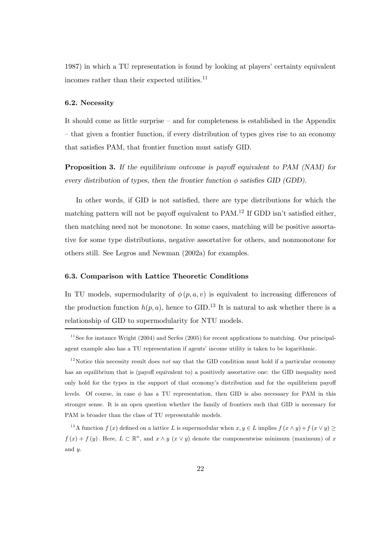1987) in which a TU representation is found by looking at players' certainty equivalent incomes rather than their expected utilities.<sup>11</sup>

#### 6.2. Necessity

It should come as little surprise — and for completeness is established in the Appendix — that given a frontier function, if every distribution of types gives rise to an economy that satisfies PAM, that frontier function must satisfy GID.

**Proposition 3.** If the equilibrium outcome is payoff equivalent to PAM (NAM) for every distribution of types, then the frontier function  $\phi$  satisfies GID (GDD).

In other words, if GID is not satisfied, there are type distributions for which the matching pattern will not be payoff equivalent to PAM.12 If GDD isn't satisfied either, then matching need not be monotone. In some cases, matching will be positive assortative for some type distributions, negative assortative for others, and nonmonotone for others still. See Legros and Newman (2002a) for examples.

# 6.3. Comparison with Lattice Theoretic Conditions

In TU models, supermodularity of  $\phi(p, a, v)$  is equivalent to increasing differences of the production function  $h(p, a)$ , hence to GID.<sup>13</sup> It is natural to ask whether there is a relationship of GID to supermodularity for NTU models.

 $11$  See for instance Wright (2004) and Serfes (2005) for recent applications to matching. Our principalagent example also has a TU representation if agents' income utility is taken to be logarithmic.

 $12$  Notice this necessity result does not say that the GID condition must hold if a particular economy has an equilibrium that is (payoff equivalent to) a positively assortative one: the GID inequality need only hold for the types in the support of that economy's distribution and for the equilibrium payoff levels. Of course, in case  $\phi$  has a TU representation, then GID is also necessary for PAM in this stronger sense. It is an open question whether the family of frontiers such that GID is necessary for PAM is broader than the class of TU representable models.

<sup>&</sup>lt;sup>13</sup>A function f (x) defined on a lattice L is supermodular when  $x, y \in L$  implies  $f(x \wedge y) + f(x \vee y) \ge$  $f(x) + f(y)$ . Here,  $L \subset \mathbb{R}^n$ , and  $x \wedge y(x \vee y)$  denote the componentwise minimum (maximum) of x and y.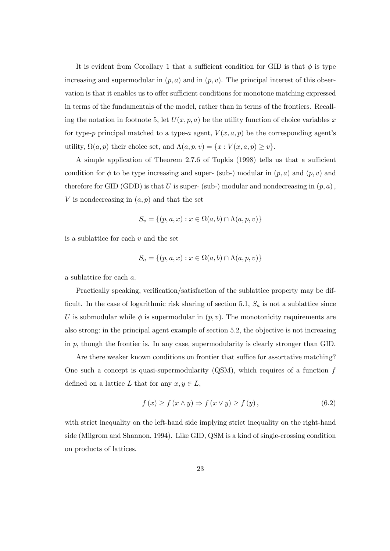It is evident from Corollary 1 that a sufficient condition for GID is that  $\phi$  is type increasing and supermodular in  $(p, a)$  and in  $(p, v)$ . The principal interest of this observation is that it enables us to offer sufficient conditions for monotone matching expressed in terms of the fundamentals of the model, rather than in terms of the frontiers. Recalling the notation in footnote 5, let  $U(x, p, a)$  be the utility function of choice variables x for type-p principal matched to a type-a agent,  $V(x, a, p)$  be the corresponding agent's utility,  $\Omega(a, p)$  their choice set, and  $\Lambda(a, p, v) = \{x : V(x, a, p) \ge v\}.$ 

A simple application of Theorem 2.7.6 of Topkis (1998) tells us that a sufficient condition for  $\phi$  to be type increasing and super- (sub-) modular in  $(p, a)$  and  $(p, v)$  and therefore for GID (GDD) is that U is super- (sub-) modular and nondecreasing in  $(p, a)$ , V is nondecreasing in  $(a, p)$  and that the set

$$
S_v = \{(p, a, x) : x \in \Omega(a, b) \cap \Lambda(a, p, v)\}
$$

is a sublattice for each  $v$  and the set

$$
S_a = \{(p, a, x) : x \in \Omega(a, b) \cap \Lambda(a, p, v)\}
$$

a sublattice for each a.

Practically speaking, verification/satisfaction of the sublattice property may be difficult. In the case of logarithmic risk sharing of section 5.1,  $S_a$  is not a sublattice since U is submodular while  $\phi$  is supermodular in  $(p, v)$ . The monotonicity requirements are also strong: in the principal agent example of section 5.2, the objective is not increasing in  $p$ , though the frontier is. In any case, supermodularity is clearly stronger than GID.

Are there weaker known conditions on frontier that suffice for assortative matching? One such a concept is quasi-supermodularity  $(QSM)$ , which requires of a function f defined on a lattice L that for any  $x, y \in L$ ,

$$
f(x) \ge f(x \wedge y) \Rightarrow f(x \vee y) \ge f(y), \tag{6.2}
$$

with strict inequality on the left-hand side implying strict inequality on the right-hand side (Milgrom and Shannon, 1994). Like GID, QSM is a kind of single-crossing condition on products of lattices.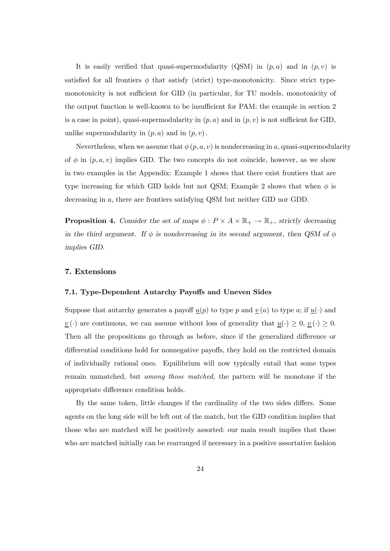It is easily verified that quasi-supermodularity  $(QSM)$  in  $(p, a)$  and in  $(p, v)$  is satisfied for all frontiers  $\phi$  that satisfy (strict) type-monotonicity. Since strict typemonotonicity is not sufficient for GID (in particular, for TU models, monotonicity of the output function is well-known to be insufficient for PAM; the example in section 2 is a case in point), quasi-supermodularity in  $(p, a)$  and in  $(p, v)$  is not sufficient for GID, unlike supermodularity in  $(p, a)$  and in  $(p, v)$ .

Nevertheless, when we assume that  $\phi(p, a, v)$  is nondecreasing in a, quasi-supermodularity of  $\phi$  in  $(p, a, v)$  implies GID. The two concepts do not coincide, however, as we show in two examples in the Appendix: Example 1 shows that there exist frontiers that are type increasing for which GID holds but not QSM; Example 2 shows that when  $\phi$  is decreasing in a, there are frontiers satisfying QSM but neither GID nor GDD.

**Proposition 4.** Consider the set of maps  $\phi : P \times A \times \mathbb{R}_+ \to \mathbb{R}_+$ , strictly decreasing in the third argument. If  $\phi$  is nondecreasing in its second argument, then QSM of  $\phi$ implies GID.

## 7. Extensions

## 7.1. Type-Dependent Autarchy Payoffs and Uneven Sides

Suppose that autarchy generates a payoff  $\underline{u}(p)$  to type p and  $\underline{v}(a)$  to type a; if  $\underline{u}(\cdot)$  and  $\underline{v}(\cdot)$  are continuous, we can assume without loss of generality that  $\underline{u}(\cdot) \geq 0$ ,  $\underline{v}(\cdot) \geq 0$ . Then all the propositions go through as before, since if the generalized difference or differential conditions hold for nonnegative payoffs, they hold on the restricted domain of individually rational ones. Equilibrium will now typically entail that some types remain unmatched, but among those matched, the pattern will be monotone if the appropriate difference condition holds.

By the same token, little changes if the cardinality of the two sides differs. Some agents on the long side will be left out of the match, but the GID condition implies that those who are matched will be positively assorted: our main result implies that those who are matched initially can be rearranged if necessary in a positive assortative fashion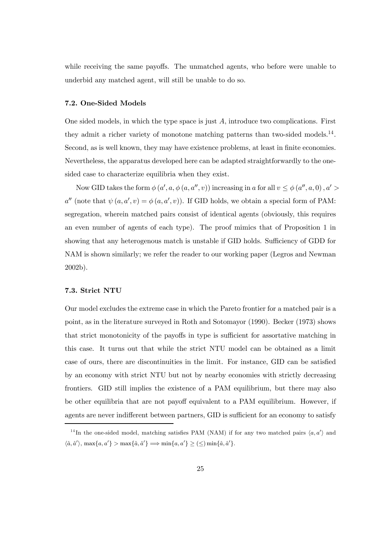while receiving the same payoffs. The unmatched agents, who before were unable to underbid any matched agent, will still be unable to do so.

## 7.2. One-Sided Models

One sided models, in which the type space is just  $A$ , introduce two complications. First they admit a richer variety of monotone matching patterns than two-sided models.14. Second, as is well known, they may have existence problems, at least in finite economies. Nevertheless, the apparatus developed here can be adapted straightforwardly to the onesided case to characterize equilibria when they exist.

Now GID takes the form  $\phi(a', a, \phi(a, a'', v))$  increasing in a for all  $v \leq \phi(a'', a, 0)$ ,  $a' >$  $a''$  (note that  $\psi(a, a', v) = \phi(a, a', v)$ ). If GID holds, we obtain a special form of PAM: segregation, wherein matched pairs consist of identical agents (obviously, this requires an even number of agents of each type). The proof mimics that of Proposition 1 in showing that any heterogenous match is unstable if GID holds. Sufficiency of GDD for NAM is shown similarly; we refer the reader to our working paper (Legros and Newman 2002b).

#### 7.3. Strict NTU

Our model excludes the extreme case in which the Pareto frontier for a matched pair is a point, as in the literature surveyed in Roth and Sotomayor (1990). Becker (1973) shows that strict monotonicity of the payoffs in type is sufficient for assortative matching in this case. It turns out that while the strict NTU model can be obtained as a limit case of ours, there are discontinuities in the limit. For instance, GID can be satisfied by an economy with strict NTU but not by nearby economies with strictly decreasing frontiers. GID still implies the existence of a PAM equilibrium, but there may also be other equilibria that are not payoff equivalent to a PAM equilibrium. However, if agents are never indifferent between partners, GID is sufficient for an economy to satisfy

<sup>&</sup>lt;sup>14</sup>In the one-sided model, matching satisfies PAM (NAM) if for any two matched pairs  $\langle a, a' \rangle$  and  $\langle \hat{a}, \hat{a}' \rangle$ , max $\{a, a'\} > \max\{\hat{a}, \hat{a}'\} \Longrightarrow \min\{a, a'\} \geq (\leq) \min\{\hat{a}, \hat{a}'\}.$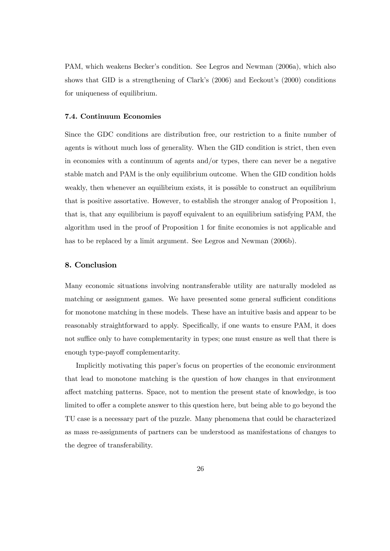PAM, which weakens Becker's condition. See Legros and Newman (2006a), which also shows that GID is a strengthening of Clark's (2006) and Eeckout's (2000) conditions for uniqueness of equilibrium.

#### 7.4. Continuum Economies

Since the GDC conditions are distribution free, our restriction to a finite number of agents is without much loss of generality. When the GID condition is strict, then even in economies with a continuum of agents and/or types, there can never be a negative stable match and PAM is the only equilibrium outcome. When the GID condition holds weakly, then whenever an equilibrium exists, it is possible to construct an equilibrium that is positive assortative. However, to establish the stronger analog of Proposition 1, that is, that any equilibrium is payoff equivalent to an equilibrium satisfying PAM, the algorithm used in the proof of Proposition 1 for finite economies is not applicable and has to be replaced by a limit argument. See Legros and Newman (2006b).

# 8. Conclusion

Many economic situations involving nontransferable utility are naturally modeled as matching or assignment games. We have presented some general sufficient conditions for monotone matching in these models. These have an intuitive basis and appear to be reasonably straightforward to apply. Specifically, if one wants to ensure PAM, it does not suffice only to have complementarity in types; one must ensure as well that there is enough type-payoff complementarity.

Implicitly motivating this paper's focus on properties of the economic environment that lead to monotone matching is the question of how changes in that environment affect matching patterns. Space, not to mention the present state of knowledge, is too limited to offer a complete answer to this question here, but being able to go beyond the TU case is a necessary part of the puzzle. Many phenomena that could be characterized as mass re-assignments of partners can be understood as manifestations of changes to the degree of transferability.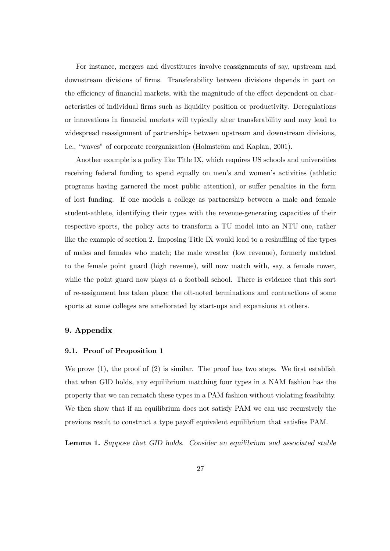For instance, mergers and divestitures involve reassignments of say, upstream and downstream divisions of firms. Transferability between divisions depends in part on the efficiency of financial markets, with the magnitude of the effect dependent on characteristics of individual firms such as liquidity position or productivity. Deregulations or innovations in financial markets will typically alter transferability and may lead to widespread reassignment of partnerships between upstream and downstream divisions, i.e., "waves" of corporate reorganization (Holmström and Kaplan, 2001).

Another example is a policy like Title IX, which requires US schools and universities receiving federal funding to spend equally on men's and women's activities (athletic programs having garnered the most public attention), or suffer penalties in the form of lost funding. If one models a college as partnership between a male and female student-athlete, identifying their types with the revenue-generating capacities of their respective sports, the policy acts to transform a TU model into an NTU one, rather like the example of section 2. Imposing Title IX would lead to a reshuffling of the types of males and females who match; the male wrestler (low revenue), formerly matched to the female point guard (high revenue), will now match with, say, a female rower, while the point guard now plays at a football school. There is evidence that this sort of re-assignment has taken place: the oft-noted terminations and contractions of some sports at some colleges are ameliorated by start-ups and expansions at others.

# 9. Appendix

# 9.1. Proof of Proposition 1

We prove (1), the proof of (2) is similar. The proof has two steps. We first establish that when GID holds, any equilibrium matching four types in a NAM fashion has the property that we can rematch these types in a PAM fashion without violating feasibility. We then show that if an equilibrium does not satisfy PAM we can use recursively the previous result to construct a type payoff equivalent equilibrium that satisfies PAM.

Lemma 1. Suppose that GID holds. Consider an equilibrium and associated stable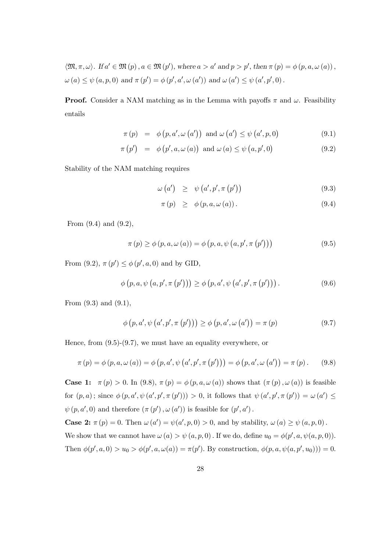$$
\langle \mathfrak{M}, \pi, \omega \rangle
$$
. If  $a' \in \mathfrak{M}(p)$ ,  $a \in \mathfrak{M}(p')$ , where  $a > a'$  and  $p > p'$ , then  $\pi(p) = \phi(p, a, \omega(a))$ ,  
 $\omega(a) \leq \psi(a, p, 0)$  and  $\pi(p') = \phi(p', a', \omega(a'))$  and  $\omega(a') \leq \psi(a', p', 0)$ .

**Proof.** Consider a NAM matching as in the Lemma with payoffs  $\pi$  and  $\omega$ . Feasibility entails

$$
\pi(p) = \phi(p, a', \omega(a')) \text{ and } \omega(a') \leq \psi(a', p, 0)
$$
\n(9.1)

$$
\pi(p') = \phi(p', a, \omega(a)) \text{ and } \omega(a) \leq \psi(a, p', 0)
$$
\n(9.2)

Stability of the NAM matching requires

$$
\omega (a') \geq \psi (a', p', \pi (p')) \tag{9.3}
$$

$$
\pi(p) \geq \phi(p, a, \omega(a)). \tag{9.4}
$$

From (9.4) and (9.2),

$$
\pi(p) \ge \phi(p, a, \omega(a)) = \phi(p, a, \psi(a, p', \pi(p')))
$$
\n(9.5)

From (9.2),  $\pi(p') \leq \phi(p', a, 0)$  and by GID,

$$
\phi(p, a, \psi(a, p', \pi(p'))) \geq \phi(p, a', \psi(a', p', \pi(p'))).
$$
\n(9.6)

From  $(9.3)$  and  $(9.1)$ ,

$$
\phi(p, a', \psi(a', p', \pi(p'))) \geq \phi(p, a', \omega(a')) = \pi(p) \tag{9.7}
$$

Hence, from (9.5)-(9.7), we must have an equality everywhere, or

$$
\pi(p) = \phi(p, a, \omega(a)) = \phi(p, a', \psi(a', p', \pi(p'))) = \phi(p, a', \omega(a')) = \pi(p). \quad (9.8)
$$

**Case 1:**  $\pi(p) > 0$ . In (9.8),  $\pi(p) = \phi(p, a, \omega(a))$  shows that  $(\pi(p), \omega(a))$  is feasible for  $(p, a)$ ; since  $\phi(p, a', \psi(a', p', \pi(p'))) > 0$ , it follows that  $\psi(a', p', \pi(p')) = \omega(a') \leq$  $\psi(p, a', 0)$  and therefore  $(\pi(p'), \omega(a'))$  is feasible for  $(p', a')$ .

**Case 2:**  $\pi(p) = 0$ . Then  $\omega(a') = \psi(a', p, 0) > 0$ , and by stability,  $\omega(a) \ge \psi(a, p, 0)$ .

We show that we cannot have  $\omega(a) > \psi(a, p, 0)$ . If we do, define  $u_0 = \phi(p', a, \psi(a, p, 0))$ . Then  $\phi(p', a, 0) > u_0 > \phi(p', a, \omega(a)) = \pi(p')$ . By construction,  $\phi(p, a, \psi(a, p', u_0))) = 0$ .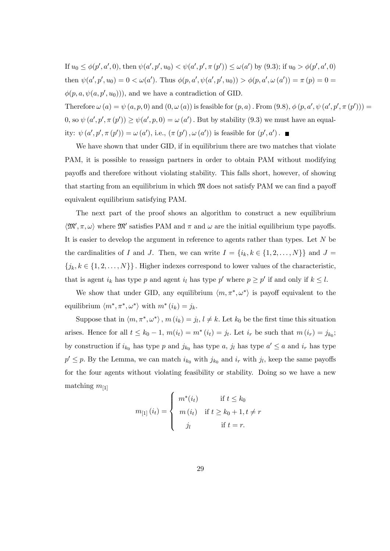If  $u_0 \leq \phi(p', a', 0)$ , then  $\psi(a', p', u_0) < \psi(a', p', \pi(p')) \leq \omega(a')$  by (9.3); if  $u_0 > \phi(p', a', 0)$ then  $\psi(a', p', u_0) = 0 < \omega(a')$ . Thus  $\phi(p, a', \psi(a', p', u_0)) > \phi(p, a', \omega(a')) = \pi(p) = 0$  $\phi(p,a,\psi(a,p',u_0))),$  and we have a contradiction of GID.

Therefore  $\omega(a) = \psi(a, p, 0)$  and  $(0, \omega(a))$  is feasible for  $(p, a)$ . From  $(9.8)$ ,  $\phi(p, a', \psi(a', p', \pi(p')))$  $(0, \text{ so } \psi(a', p', \pi(p')) \ge \psi(a', p, 0) = \omega(a')$ . But by stability  $(9.3)$  we must have an equality:  $\psi(a', p', \pi(p')) = \omega(a')$ , i.e.,  $(\pi(p'), \omega(a'))$  is feasible for  $(p', a')$ .

We have shown that under GID, if in equilibrium there are two matches that violate PAM, it is possible to reassign partners in order to obtain PAM without modifying payoffs and therefore without violating stability. This falls short, however, of showing that starting from an equilibrium in which  $\mathfrak{M}$  does not satisfy PAM we can find a payoff equivalent equilibrium satisfying PAM.

The next part of the proof shows an algorithm to construct a new equilibrium  $\langle \mathfrak{M}', \pi, \omega \rangle$  where  $\mathfrak{M}'$  satisfies PAM and  $\pi$  and  $\omega$  are the initial equilibrium type payoffs. It is easier to develop the argument in reference to agents rather than types. Let N be the cardinalities of I and J. Then, we can write  $I = \{i_k, k \in \{1, 2, ..., N\}\}\$ and  $J =$  $\{j_k, k \in \{1, 2, ..., N\}\}\.$  Higher indexes correspond to lower values of the characteristic, that is agent  $i_k$  has type p and agent  $i_l$  has type p' where  $p \geq p'$  if and only if  $k \leq l$ .

We show that under GID, any equilibrium  $\langle m, \pi^*, \omega^* \rangle$  is payoff equivalent to the equilibrium  $\langle m^*, \pi^*, \omega^* \rangle$  with  $m^*$   $(i_k) = j_k$ .

Suppose that in  $\langle m, \pi^*, \omega^* \rangle$ ,  $m(i_k) = j_l, l \neq k$ . Let  $k_0$  be the first time this situation arises. Hence for all  $t \leq k_0 - 1$ ,  $m(i_t) = m^*(i_t) = j_t$ . Let  $i_r$  be such that  $m(i_r) = j_{k_0}$ ; by construction if  $i_{k_0}$  has type p and  $j_{k_0}$  has type  $a, j_l$  has type  $a' \leq a$  and  $i_r$  has type  $p' \leq p$ . By the Lemma, we can match  $i_{k_0}$  with  $j_{k_0}$  and  $i_r$  with  $j_l$ , keep the same payoffs for the four agents without violating feasibility or stability. Doing so we have a new matching  $m_{[1]}$ 

$$
m_{[1]}(i_t) = \begin{cases} m^*(i_t) & \text{if } t \le k_0 \\ m(i_t) & \text{if } t \ge k_0 + 1, t \ne r \\ j_l & \text{if } t = r. \end{cases}
$$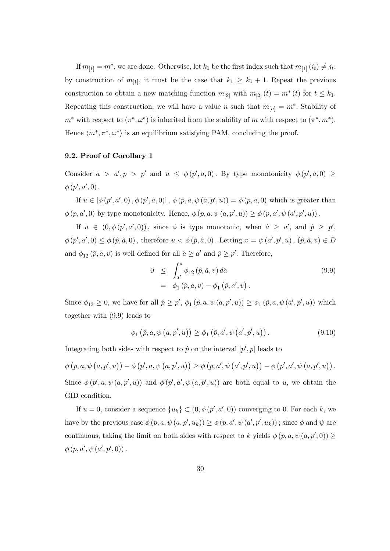If  $m_{[1]} = m^*$ , we are done. Otherwise, let  $k_1$  be the first index such that  $m_{[1]} (i_t) \neq j_t$ ; by construction of  $m_{[1]}$ , it must be the case that  $k_1 \geq k_0 + 1$ . Repeat the previous construction to obtain a new matching function  $m_{[2]}$  with  $m_{[2]}(t) = m^*(t)$  for  $t \leq k_1$ . Repeating this construction, we will have a value n such that  $m_{[n]} = m^*$ . Stability of  $m^*$  with respect to  $(\pi^*, \omega^*)$  is inherited from the stability of m with respect to  $(\pi^*, m^*)$ . Hence  $\langle m^*, \pi^*, \omega^* \rangle$  is an equilibrium satisfying PAM, concluding the proof.

## 9.2. Proof of Corollary 1

Consider  $a > a', p > p'$  and  $u \leq \phi(p', a, 0)$ . By type monotonicity  $\phi(p', a, 0) \geq$  $\phi(p', a', 0)$ .

If  $u \in [\phi(p', a', 0), \phi(p', a, 0)], \phi(p, a, \psi(a, p', u)) = \phi(p, a, 0)$  which is greater than  $\phi(p, a', 0)$  by type monotonicity. Hence,  $\phi(p, a, \psi(a, p', u)) \ge \phi(p, a', \psi(a', p', u))$ .

If  $u \in (0, \phi(p', a', 0))$ , since  $\phi$  is type monotonic, when  $\hat{a} \ge a'$ , and  $\hat{p} \ge p'$ ,  $\phi(p', a', 0) \leq \phi(\hat{p}, \hat{a}, 0)$ , therefore  $u < \phi(\hat{p}, \hat{a}, 0)$ . Letting  $v = \psi(a', p', u)$ ,  $(\hat{p}, \hat{a}, v) \in D$ and  $\phi_{12}(\hat{p}, \hat{a}, v)$  is well defined for all  $\hat{a} \ge a'$  and  $\hat{p} \ge p'$ . Therefore,

$$
0 \leq \int_{a'}^{a} \phi_{12}(\hat{p}, \hat{a}, v) d\hat{a}
$$
  
=  $\phi_1(\hat{p}, a, v) - \phi_1(\hat{p}, a', v)$ . (9.9)

Since  $\phi_{13} \geq 0$ , we have for all  $\hat{p} \geq p'$ ,  $\phi_1(\hat{p}, a, \psi(a, p', u)) \geq \phi_1(\hat{p}, a, \psi(a', p', u))$  which together with (9.9) leads to

$$
\phi_1(\hat{p}, a, \psi(a, p', u)) \ge \phi_1(\hat{p}, a', \psi(a', p', u)). \tag{9.10}
$$

Integrating both sides with respect to  $\hat{p}$  on the interval  $[p', p]$  leads to

 $\phi\left(p,a,\psi\left(a,p',u\right)\right)-\phi\left(p',a,\psi\left(a,p',u\right)\right)\geq\phi\left(p,a',\psi\left(a',p',u\right)\right)-\phi\left(p',a',\psi\left(a,p',u\right)\right).$ Since  $\phi(p', a, \psi(a, p', u))$  and  $\phi(p', a', \psi(a, p', u))$  are both equal to u, we obtain the GID condition.

If  $u = 0$ , consider a sequence  $\{u_k\} \subset (0, \phi(p', a', 0))$  converging to 0. For each k, we have by the previous case  $\phi(p, a, \psi(a, p', u_k)) \ge \phi(p, a', \psi(a', p', u_k))$ ; since  $\phi$  and  $\psi$  are continuous, taking the limit on both sides with respect to k yields  $\phi(p, a, \psi(a, p', 0)) \ge$  $\phi(p, a', \psi(a', p', 0))$ .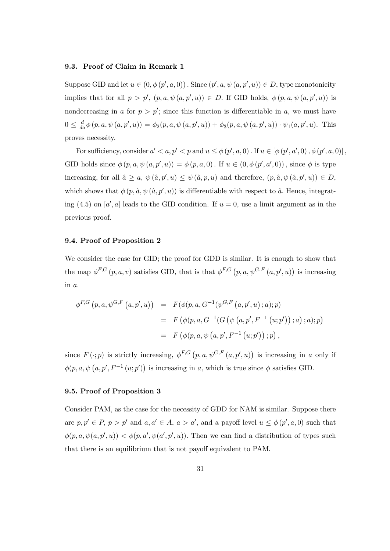## 9.3. Proof of Claim in Remark 1

Suppose GID and let  $u \in (0, \phi(p', a, 0))$ . Since  $(p', a, \psi(a, p', u)) \in D$ , type monotonicity implies that for all  $p > p'$ ,  $(p, a, \psi(a, p', u)) \in D$ . If GID holds,  $\phi(p, a, \psi(a, p', u))$  is nondecreasing in a for  $p > p'$ ; since this function is differentiable in a, we must have  $0 \leq \frac{d}{da} \phi(p, a, \psi(a, p', u)) = \phi_2(p, a, \psi(a, p', u)) + \phi_3(p, a, \psi(a, p', u)) \cdot \psi_1(a, p', u).$  This proves necessity.

For sufficiency, consider  $a' < a, p' < p$  and  $u \le \phi(p', a, 0)$ . If  $u \in [\phi(p', a', 0), \phi(p', a, 0)]$ , GID holds since  $\phi(p, a, \psi(a, p', u)) = \phi(p, a, 0)$ . If  $u \in (0, \phi(p', a', 0))$ , since  $\phi$  is type increasing, for all  $\hat{a} \ge a$ ,  $\psi(\hat{a}, p', u) \le \psi(\hat{a}, p, u)$  and therefore,  $(p, \hat{a}, \psi(\hat{a}, p', u)) \in D$ , which shows that  $\phi(p, \hat{a}, \psi(\hat{a}, p', u))$  is differentiable with respect to  $\hat{a}$ . Hence, integrating (4.5) on  $[a', a]$  leads to the GID condition. If  $u = 0$ , use a limit argument as in the previous proof.

# 9.4. Proof of Proposition 2

We consider the case for GID; the proof for GDD is similar. It is enough to show that the map  $\phi^{F,G}(p,a,v)$  satisfies GID, that is that  $\phi^{F,G}(p,a,\psi^{G,F}(a,p',u))$  is increasing in a.

$$
\begin{array}{lcl} \phi^{F,G} \left( p, a, \psi^{G,F} \left( a, p', u \right) \right) & = & F(\phi(p, a, G^{-1}(\psi^{G,F} \left( a, p', u \right); a); p) \\ \\ & = & F\left( \phi(p, a, G^{-1} (G \left( \psi \left( a, p', F^{-1} \left( u; p' \right) \right); a \right); a); p \right) \\ \\ & = & F\left( \phi(p, a, \psi \left( a, p', F^{-1} \left( u; p' \right) \right); p \right), \end{array}
$$

since  $F(\cdot; p)$  is strictly increasing,  $\phi^{F,G}(p, a, \psi^{G,F}(a, p', u))$  is increasing in a only if  $\phi(p, a, \psi(a, p', F^{-1}(u; p'))$  is increasing in a, which is true since  $\phi$  satisfies GID.

## 9.5. Proof of Proposition 3

Consider PAM, as the case for the necessity of GDD for NAM is similar. Suppose there are  $p, p' \in P$ ,  $p > p'$  and  $a, a' \in A$ ,  $a > a'$ , and a payoff level  $u \leq \phi(p', a, 0)$  such that  $\phi(p,a,\psi(a,p',u)) < \phi(p,a',\psi(a',p',u))$ . Then we can find a distribution of types such that there is an equilibrium that is not payoff equivalent to PAM.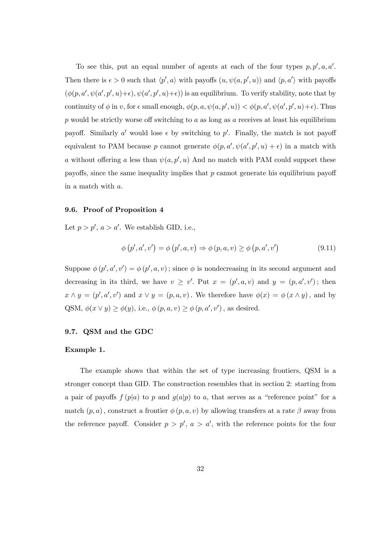To see this, put an equal number of agents at each of the four types  $p, p', a, a'$ . Then there is  $\epsilon > 0$  such that  $\langle p', a \rangle$  with payoffs  $(u, \psi(a, p', u))$  and  $\langle p, a' \rangle$  with payoffs  $(\phi(p, a', \psi(a', p', u)+\epsilon), \psi(a', p', u)+\epsilon))$  is an equilibrium. To verify stability, note that by continuity of  $\phi$  in v, for  $\epsilon$  small enough,  $\phi(p, a, \psi(a, p', u)) < \phi(p, a', \psi(a', p', u) + \epsilon)$ . Thus  $p$  would be strictly worse off switching to  $a$  as long as  $a$  receives at least his equilibrium payoff. Similarly a' would lose  $\epsilon$  by switching to p'. Finally, the match is not payoff equivalent to PAM because p cannot generate  $\phi(p, a', \psi(a', p', u) + \epsilon)$  in a match with a without offering a less than  $\psi(a, p', u)$  And no match with PAM could support these payoffs, since the same inequality implies that  $p$  cannot generate his equilibrium payoff in a match with a.

#### 9.6. Proof of Proposition 4

Let  $p > p'$ ,  $a > a'$ . We establish GID, i.e.,

$$
\phi(p', a', v') = \phi(p', a, v) \Rightarrow \phi(p, a, v) \ge \phi(p, a', v')
$$
\n(9.11)

Suppose  $\phi(p', a', v') = \phi(p', a, v)$ ; since  $\phi$  is nondecreasing in its second argument and decreasing in its third, we have  $v \geq v'$ . Put  $x = (p', a, v)$  and  $y = (p, a', v')$ ; then  $x \wedge y = (p', a', v')$  and  $x \vee y = (p, a, v)$ . We therefore have  $\phi(x) = \phi(x \wedge y)$ , and by QSM,  $\phi(x \lor y) \ge \phi(y)$ , i.e.,  $\phi(p, a, v) \ge \phi(p, a', v')$ , as desired.

#### 9.7. QSM and the GDC

#### Example 1.

The example shows that within the set of type increasing frontiers, QSM is a stronger concept than GID. The construction resembles that in section 2: starting from a pair of payoffs  $f(p|a)$  to p and  $g(a|p)$  to a, that serves as a "reference point" for a match  $(p, a)$ , construct a frontier  $\phi(p, a, v)$  by allowing transfers at a rate  $\beta$  away from the reference payoff. Consider  $p > p'$ ,  $a > a'$ , with the reference points for the four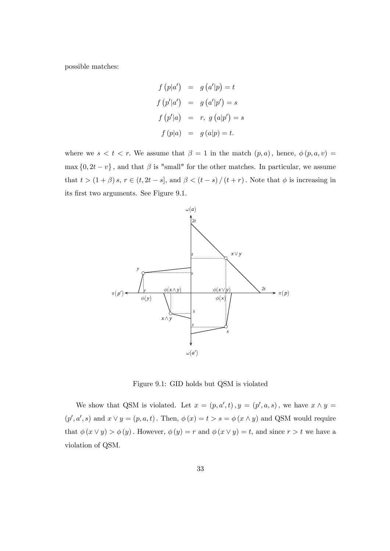possible matches:

$$
f (p|a') = g (a'|p) = t
$$
  
\n
$$
f (p'|a') = g (a'|p') = s
$$
  
\n
$$
f (p'|a) = r, g (a|p') = s
$$
  
\n
$$
f (p|a) = g (a|p) = t.
$$

where we  $s < t < r$ . We assume that  $\beta = 1$  in the match  $(p, a)$ , hence,  $\phi(p, a, v)$ max  $\{0, 2t - v\}$ , and that  $\beta$  is "small" for the other matches. In particular, we assume that  $t > (1 + \beta) s$ ,  $r \in (t, 2t - s]$ , and  $\beta < (t - s) / (t + r)$ . Note that  $\phi$  is increasing in its first two arguments. See Figure 9.1.



Figure 9.1: GID holds but QSM is violated

We show that QSM is violated. Let  $x = (p, a', t)$ ,  $y = (p', a, s)$ , we have  $x \wedge y =$  $(p', a', s)$  and  $x \vee y = (p, a, t)$ . Then,  $\phi(x) = t > s = \phi(x \wedge y)$  and QSM would require that  $\phi(x \vee y) > \phi(y)$ . However,  $\phi(y) = r$  and  $\phi(x \vee y) = t$ , and since  $r > t$  we have a violation of QSM.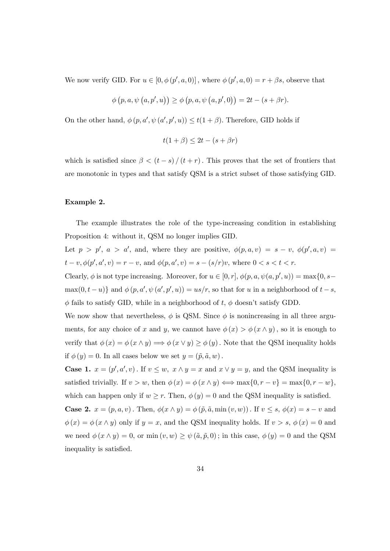We now verify GID. For  $u \in [0, \phi(p', a, 0)]$ , where  $\phi(p', a, 0) = r + \beta s$ , observe that

$$
\phi(p, a, \psi(a, p', u)) \ge \phi(p, a, \psi(a, p', 0)) = 2t - (s + \beta r).
$$

On the other hand,  $\phi(p, a', \psi(a', p', u)) \leq t(1 + \beta)$ . Therefore, GID holds if

$$
t(1+\beta) \le 2t - (s + \beta r)
$$

which is satisfied since  $\beta < (t - s)/(t + r)$ . This proves that the set of frontiers that are monotonic in types and that satisfy QSM is a strict subset of those satisfying GID.

#### Example 2.

The example illustrates the role of the type-increasing condition in establishing Proposition 4: without it, QSM no longer implies GID.

Let  $p > p'$ ,  $a > a'$ , and, where they are positive,  $\phi(p, a, v) = s - v$ ,  $\phi(p', a, v) =$  $t - v, \phi(p', a', v) = r - v$ , and  $\phi(p, a', v) = s - (s/r)v$ , where  $0 < s < t < r$ .

Clearly,  $\phi$  is not type increasing. Moreover, for  $u \in [0, r]$ ,  $\phi(p, a, \psi(a, p', u)) = \max\{0, s \max(0, t - u)$ } and  $\phi(p, a', \psi(a', p', u)) = us/r$ , so that for u in a neighborhood of  $t - s$ ,  $\phi$  fails to satisfy GID, while in a neighborhood of t,  $\phi$  doesn't satisfy GDD.

We now show that nevertheless,  $\phi$  is QSM. Since  $\phi$  is nonincreasing in all three arguments, for any choice of x and y, we cannot have  $\phi(x) > \phi(x \wedge y)$ , so it is enough to verify that  $\phi(x) = \phi(x \wedge y) \Longrightarrow \phi(x \vee y) \ge \phi(y)$ . Note that the QSM inequality holds if  $\phi(y)=0$ . In all cases below we set  $y = (\tilde{p}, \tilde{a}, w)$ .

**Case 1.**  $x = (p', a', v)$ . If  $v \leq w$ ,  $x \wedge y = x$  and  $x \vee y = y$ , and the QSM inequality is satisfied trivially. If  $v > w$ , then  $\phi(x) = \phi(x \wedge y) \Longleftrightarrow \max\{0, r - v\} = \max\{0, r - w\}$ , which can happen only if  $w \geq r$ . Then,  $\phi(y)=0$  and the QSM inequality is satisfied.

**Case 2.**  $x = (p, a, v)$ . Then,  $\phi(x \wedge y) = \phi(\tilde{p}, \tilde{a}, \min(v, w))$ . If  $v \leq s$ ,  $\phi(x) = s - v$  and  $\phi(x) = \phi(x \wedge y)$  only if  $y = x$ , and the QSM inequality holds. If  $v > s$ ,  $\phi(x) = 0$  and we need  $\phi(x \wedge y) = 0$ , or min  $(v, w) \ge \psi(\tilde{a}, \tilde{p}, 0)$ ; in this case,  $\phi(y) = 0$  and the QSM inequality is satisfied.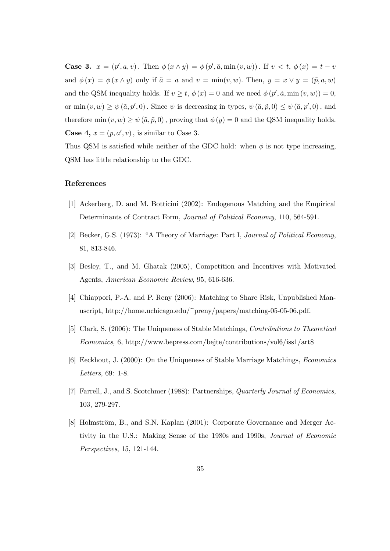**Case 3.**  $x = (p', a, v)$ . Then  $\phi(x \wedge y) = \phi(p', \tilde{a}, \min(v, w))$ . If  $v < t$ ,  $\phi(x) = t - v$ and  $\phi(x) = \phi(x \wedge y)$  only if  $\tilde{a} = a$  and  $v = \min(v, w)$ . Then,  $y = x \vee y = (\tilde{p}, a, w)$ and the QSM inequality holds. If  $v \ge t$ ,  $\phi(x) = 0$  and we need  $\phi(p', \tilde{a}, \min(v, w)) = 0$ , or min  $(v, w) \ge \psi(\tilde{a}, p', 0)$ . Since  $\psi$  is decreasing in types,  $\psi(\tilde{a}, \tilde{p}, 0) \le \psi(\tilde{a}, p', 0)$ , and therefore min  $(v, w) \ge \psi(\tilde{a}, \tilde{p}, 0)$ , proving that  $\phi(y) = 0$  and the QSM inequality holds. **Case 4,**  $x = (p, a', v)$ , is similar to Case 3.

Thus QSM is satisfied while neither of the GDC hold: when  $\phi$  is not type increasing, QSM has little relationship to the GDC.

# References

- [1] Ackerberg, D. and M. Botticini (2002): Endogenous Matching and the Empirical Determinants of Contract Form, Journal of Political Economy, 110, 564-591.
- [2] Becker, G.S. (1973): "A Theory of Marriage: Part I, Journal of Political Economy, 81, 813-846.
- [3] Besley, T., and M. Ghatak (2005), Competition and Incentives with Motivated Agents, American Economic Review, 95, 616-636.
- [4] Chiappori, P.-A. and P. Reny (2006): Matching to Share Risk, Unpublished Manuscript, http://home.uchicago.edu/~preny/papers/matching-05-05-06.pdf.
- [5] Clark, S. (2006): The Uniqueness of Stable Matchings, Contributions to Theoretical Economics, 6, http://www.bepress.com/bejte/contributions/vol6/iss1/art8
- [6] Eeckhout, J. (2000): On the Uniqueness of Stable Marriage Matchings, Economics Letters, 69: 1-8.
- [7] Farrell, J., and S. Scotchmer (1988): Partnerships, *Quarterly Journal of Economics*, 103, 279-297.
- [8] Holmström, B., and S.N. Kaplan (2001): Corporate Governance and Merger Activity in the U.S.: Making Sense of the 1980s and 1990s, Journal of Economic Perspectives, 15, 121-144.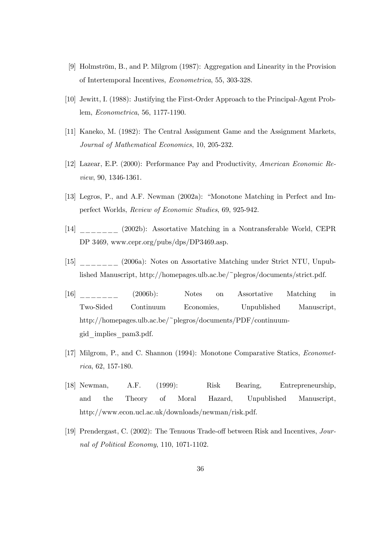- [9] Holmström, B., and P. Milgrom (1987): Aggregation and Linearity in the Provision of Intertemporal Incentives, Econometrica, 55, 303-328.
- [10] Jewitt, I. (1988): Justifying the First-Order Approach to the Principal-Agent Problem, Econometrica, 56, 1177-1190.
- [11] Kaneko, M. (1982): The Central Assignment Game and the Assignment Markets, Journal of Mathematical Economics, 10, 205-232.
- [12] Lazear, E.P. (2000): Performance Pay and Productivity, American Economic Review, 90, 1346-1361.
- [13] Legros, P., and A.F. Newman (2002a): "Monotone Matching in Perfect and Imperfect Worlds, Review of Economic Studies, 69, 925-942.
- [14] \_\_\_\_\_\_\_ (2002b): Assortative Matching in a Nontransferable World, CEPR DP 3469, www.cepr.org/pubs/dps/DP3469.asp.
- [15] \_\_\_\_\_\_\_ (2006a): Notes on Assortative Matching under Strict NTU, Unpublished Manuscript, http://homepages.ulb.ac.be/~plegros/documents/strict.pdf.
- [16] \_\_\_\_\_\_\_ (2006b): Notes on Assortative Matching in Two-Sided Continuum Economies, Unpublished Manuscript, http://homepages.ulb.ac.be/~plegros/documents/PDF/continuumgid\_implies\_pam3.pdf.
- [17] Milgrom, P., and C. Shannon (1994): Monotone Comparative Statics, Econometrica, 62, 157-180.
- [18] Newman, A.F. (1999): Risk Bearing, Entrepreneurship, and the Theory of Moral Hazard, Unpublished Manuscript, http://www.econ.ucl.ac.uk/downloads/newman/risk.pdf.
- [19] Prendergast, C. (2002): The Tenuous Trade-off between Risk and Incentives, Journal of Political Economy, 110, 1071-1102.